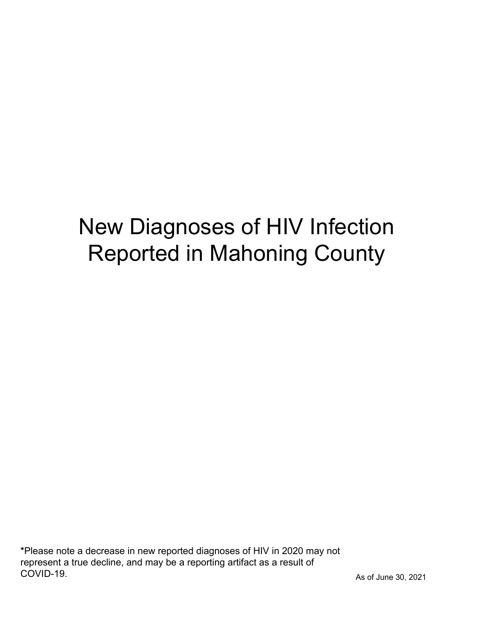## New Diagnoses of HIV Infection Reported in Mahoning County

\*Please note a decrease in new reported diagnoses of HIV in 2020 may not represent a true decline, and may be a reporting artifact as a result of COVID-19.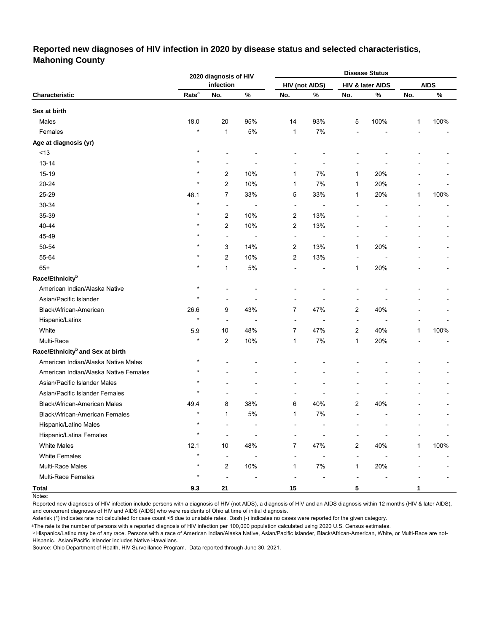#### **Reported new diagnoses of HIV infection in 2020 by disease status and selected characteristics, Mahoning County**

|                                              |                   | 2020 diagnosis of HIV    |      |                |                       |                          | <b>Disease Status</b> |              |             |
|----------------------------------------------|-------------------|--------------------------|------|----------------|-----------------------|--------------------------|-----------------------|--------------|-------------|
|                                              |                   | infection                |      |                | <b>HIV (not AIDS)</b> |                          | HIV & later AIDS      |              | <b>AIDS</b> |
| Characteristic                               | Rate <sup>a</sup> | No.                      | $\%$ | No.            | $\%$                  | No.                      | $\%$                  | No.          | $\%$        |
| Sex at birth                                 |                   |                          |      |                |                       |                          |                       |              |             |
| Males                                        | 18.0              | 20                       | 95%  | 14             | 93%                   | 5                        | 100%                  | 1            | 100%        |
| Females                                      | $\star$           | $\mathbf{1}$             | 5%   | $\mathbf{1}$   | 7%                    |                          |                       |              |             |
| Age at diagnosis (yr)                        |                   |                          |      |                |                       |                          |                       |              |             |
| $<13$                                        | $\star$           |                          |      |                |                       |                          |                       |              |             |
| 13-14                                        | $\star$           | $\overline{\phantom{a}}$ |      |                |                       |                          |                       |              |             |
| 15-19                                        |                   | $\overline{\mathbf{c}}$  | 10%  | 1              | 7%                    | 1                        | 20%                   |              |             |
| 20-24                                        | $\star$           | $\overline{\mathbf{c}}$  | 10%  | 1              | 7%                    | 1                        | 20%                   |              |             |
| 25-29                                        | 48.1              | 7                        | 33%  | 5              | 33%                   | 1                        | 20%                   | 1            | 100%        |
| 30-34                                        | $\star$           | $\overline{a}$           |      | $\overline{a}$ |                       |                          |                       |              |             |
| 35-39                                        | $\star$           | $\overline{\mathbf{c}}$  | 10%  | 2              | 13%                   |                          |                       |              |             |
| 40-44                                        | $\star$           | $\overline{\mathbf{c}}$  | 10%  | 2              | 13%                   |                          |                       |              |             |
| 45-49                                        |                   | $\overline{a}$           | ÷,   | ÷,             |                       |                          |                       |              |             |
| 50-54                                        | $\star$           | 3                        | 14%  | 2              | 13%                   | 1                        | 20%                   |              |             |
| 55-64                                        |                   | $\overline{\mathbf{c}}$  | 10%  | 2              | 13%                   | ÷                        |                       |              |             |
| $65+$                                        | $\star$           | $\mathbf{1}$             | 5%   |                |                       | 1                        | 20%                   |              |             |
| Race/Ethnicity <sup>b</sup>                  |                   |                          |      |                |                       |                          |                       |              |             |
| American Indian/Alaska Native                | $\star$           |                          |      |                |                       |                          |                       |              |             |
| Asian/Pacific Islander                       | $\star$           |                          |      |                |                       |                          |                       |              |             |
| Black/African-American                       | 26.6              | 9                        | 43%  | 7              | 47%                   | 2                        | 40%                   |              |             |
| Hispanic/Latinx                              | $\star$           | $\overline{a}$           |      | ÷              |                       | $\overline{a}$           |                       |              |             |
| White                                        | 5.9               | 10                       | 48%  | $\overline{7}$ | 47%                   | 2                        | 40%                   | 1            | 100%        |
| Multi-Race                                   | $\star$           | $\overline{\mathbf{c}}$  | 10%  | 1              | 7%                    | 1                        | 20%                   |              |             |
| Race/Ethnicity <sup>b</sup> and Sex at birth |                   |                          |      |                |                       |                          |                       |              |             |
| American Indian/Alaska Native Males          | $^\star$          |                          |      |                |                       |                          |                       |              |             |
| American Indian/Alaska Native Females        | $^\star$          |                          |      |                |                       |                          |                       |              |             |
| Asian/Pacific Islander Males                 |                   |                          |      |                |                       |                          |                       |              |             |
| Asian/Pacific Islander Females               | $\star$           |                          |      |                |                       |                          |                       |              |             |
| Black/African-American Males                 | 49.4              | 8                        | 38%  | 6              | 40%                   | 2                        | 40%                   |              |             |
| Black/African-American Females               | $\star$           | $\mathbf{1}$             | 5%   | 1              | 7%                    | ٠                        |                       |              |             |
| Hispanic/Latino Males                        | $\star$           |                          |      |                |                       |                          |                       |              |             |
| Hispanic/Latina Females                      | $\star$           |                          |      |                |                       |                          |                       |              |             |
| <b>White Males</b>                           | 12.1              | 10                       | 48%  | 7              | 47%                   | $\overline{c}$           | 40%                   | $\mathbf{1}$ | 100%        |
| <b>White Females</b>                         | $\star$           | ÷,                       |      |                | $\overline{a}$        | $\overline{a}$           |                       |              |             |
| Multi-Race Males                             | $\star$           | $\boldsymbol{2}$         | 10%  | $\mathbf{1}$   | $7\%$                 | 1                        | 20%                   |              |             |
| Multi-Race Females                           | $\star$           | $\overline{a}$           |      |                |                       | $\overline{\phantom{a}}$ |                       |              |             |
| <b>Total</b>                                 | 9.3               | 21                       |      | 15             |                       | 5                        |                       | 1            |             |

Notes:

Reported new diagnoses of HIV infection include persons with a diagnosis of HIV (not AIDS), a diagnosis of HIV and an AIDS diagnosis within 12 months (HIV & later AIDS), and concurrent diagnoses of HIV and AIDS (AIDS) who were residents of Ohio at time of initial diagnosis.

Asterisk (\*) indicates rate not calculated for case count <5 due to unstable rates. Dash (-) indicates no cases were reported for the given category.

<sup>a</sup>The rate is the number of persons with a reported diagnosis of HIV infection per 100,000 population calculated using 2020 U.S. Census estimates.

ᵇ Hispanics/Latinx may be of any race. Persons with a race of American Indian/Alaska Native, Asian/Pacific Islander, Black/African-American, White, or Multi-Race are not-Hispanic. Asian/Pacific Islander includes Native Hawaiians.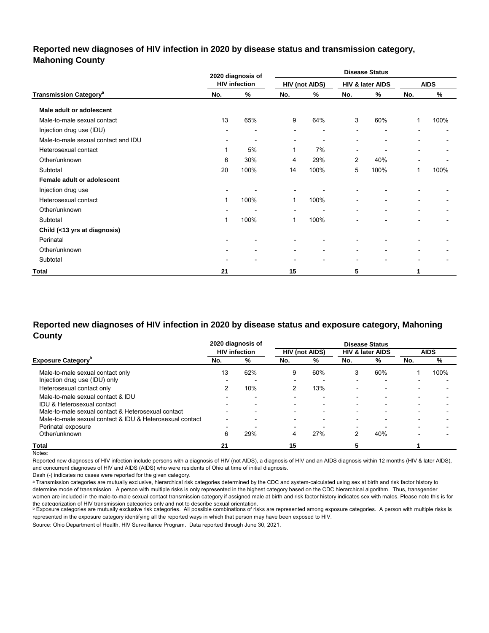## **Reported new diagnoses of HIV infection in 2020 by disease status and transmission category, Mahoning County**

|                                          |                          | 2020 diagnosis of        |                          | <b>Disease Status</b> |                          |                          |                          |             |  |
|------------------------------------------|--------------------------|--------------------------|--------------------------|-----------------------|--------------------------|--------------------------|--------------------------|-------------|--|
|                                          |                          | <b>HIV infection</b>     |                          | <b>HIV (not AIDS)</b> |                          | HIV & later AIDS         |                          | <b>AIDS</b> |  |
| <b>Transmission Category<sup>a</sup></b> | No.                      | %                        | No.                      | ℅                     | No.                      | %                        | No.                      | %           |  |
| Male adult or adolescent                 |                          |                          |                          |                       |                          |                          |                          |             |  |
| Male-to-male sexual contact              | 13                       | 65%                      | 9                        | 64%                   | 3                        | 60%                      | 1                        | 100%        |  |
| Injection drug use (IDU)                 |                          | $\overline{\phantom{0}}$ | $\overline{\phantom{0}}$ | ٠                     | $\blacksquare$           | $\overline{\phantom{0}}$ |                          |             |  |
| Male-to-male sexual contact and IDU      | $\overline{\phantom{a}}$ | ٠                        | $\blacksquare$           | ٠                     | $\overline{\phantom{a}}$ | $\overline{\phantom{a}}$ |                          |             |  |
| Heterosexual contact                     | 1                        | 5%                       | 1                        | 7%                    | $\overline{\phantom{a}}$ | ٠                        |                          |             |  |
| Other/unknown                            | 6                        | 30%                      | 4                        | 29%                   | 2                        | 40%                      |                          |             |  |
| Subtotal                                 | 20                       | 100%                     | 14                       | 100%                  | 5                        | 100%                     | 1                        | 100%        |  |
| Female adult or adolescent               |                          |                          |                          |                       |                          |                          |                          |             |  |
| Injection drug use                       | $\overline{\phantom{a}}$ |                          | $\blacksquare$           |                       |                          |                          |                          |             |  |
| Heterosexual contact                     | 1                        | 100%                     | 1                        | 100%                  | $\overline{\phantom{0}}$ | $\overline{\phantom{0}}$ |                          |             |  |
| Other/unknown                            |                          | ۰                        | $\blacksquare$           | ٠                     | $\overline{\phantom{a}}$ | $\blacksquare$           | $\overline{\phantom{a}}$ |             |  |
| Subtotal                                 | 1                        | 100%                     | 1                        | 100%                  |                          | $\overline{\phantom{0}}$ |                          |             |  |
| Child (<13 yrs at diagnosis)             |                          |                          |                          |                       |                          |                          |                          |             |  |
| Perinatal                                |                          |                          |                          |                       |                          |                          |                          |             |  |
| Other/unknown                            | $\overline{\phantom{a}}$ | $\blacksquare$           | $\overline{\phantom{a}}$ | ٠                     | $\blacksquare$           | $\overline{\phantom{0}}$ |                          |             |  |
| Subtotal                                 | $\overline{\phantom{a}}$ | ۰                        | $\blacksquare$           | ٠                     | $\blacksquare$           | $\overline{\phantom{0}}$ |                          |             |  |
| Total                                    | 21                       |                          | 15                       |                       | 5                        |                          |                          |             |  |

## **Reported new diagnoses of HIV infection in 2020 by disease status and exposure category, Mahoning County**

|                                                          |                          | 2020 diagnosis of        |                          |                          |                          | <b>Disease Status</b>       |                          |                          |
|----------------------------------------------------------|--------------------------|--------------------------|--------------------------|--------------------------|--------------------------|-----------------------------|--------------------------|--------------------------|
|                                                          |                          | <b>HIV</b> infection     |                          | <b>HIV (not AIDS)</b>    |                          | <b>HIV &amp; later AIDS</b> |                          | <b>AIDS</b>              |
| <b>Exposure Category</b> "                               | No.                      | %                        | No.                      | %                        | No.                      | %                           | No.                      | %                        |
| Male-to-male sexual contact only                         | 13                       | 62%                      | 9                        | 60%                      | 3                        | 60%                         |                          | 100%                     |
| Injection drug use (IDU) only                            |                          |                          | $\overline{\phantom{0}}$ |                          |                          | $\overline{\phantom{0}}$    |                          |                          |
| Heterosexual contact only                                |                          | 10%                      |                          | 13%                      | $\overline{\phantom{0}}$ | $\overline{\phantom{0}}$    |                          |                          |
| Male-to-male sexual contact & IDU                        |                          | $\overline{\phantom{0}}$ |                          | $\overline{\phantom{0}}$ | -                        | $\overline{\phantom{0}}$    | $\overline{\phantom{0}}$ | $\overline{\phantom{a}}$ |
| IDU & Heterosexual contact                               |                          |                          |                          |                          |                          |                             |                          |                          |
| Male-to-male sexual contact & Heterosexual contact       | $\overline{\phantom{0}}$ | -                        | -                        | $\overline{\phantom{0}}$ | -                        | $\overline{\phantom{0}}$    | $\overline{\phantom{a}}$ |                          |
| Male-to-male sexual contact & IDU & Heterosexual contact | -                        |                          |                          | -                        | -                        |                             |                          |                          |
| Perinatal exposure                                       | -                        |                          | $\overline{\phantom{a}}$ |                          | -                        |                             |                          |                          |
| Other/unknown                                            | 6                        | 29%                      | 4                        | 27%                      |                          | 40%                         |                          |                          |
| Total                                                    | 21                       |                          | 15                       |                          |                          |                             |                          |                          |

Notes:

Reported new diagnoses of HIV infection include persons with a diagnosis of HIV (not AIDS), a diagnosis of HIV and an AIDS diagnosis within 12 months (HIV & later AIDS), and concurrent diagnoses of HIV and AIDS (AIDS) who were residents of Ohio at time of initial diagnosis.

Dash (-) indicates no cases were reported for the given category.

a Transmission categories are mutually exclusive, hierarchical risk categories determined by the CDC and system-calculated using sex at birth and risk factor history to determine mode of transmission. A person with multiple risks is only represented in the highest category based on the CDC hierarchical algorithm. Thus, transgender women are included in the male-to-male sexual contact transmission category if assigned male at birth and risk factor history indicates sex with males. Please note this is for

the cateqorization of HIV transmission cateqories only and not to describe sexual orientation.<br>▷ Exposure categories are mutually exclusive risk categories. All possible combinations of risks are represented among exposu represented in the exposure category identifying all the reported ways in which that person may have been exposed to HIV.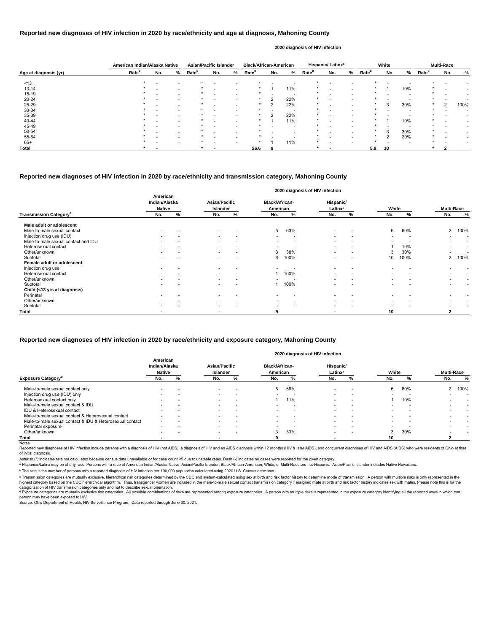|                       | American Indian/Alaska Native |     |                          | <b>Asian/Pacific Islander</b> |     |   | <b>Black/African-American</b> |          |     |                   | Hispanic/Latinx <sup>a</sup> |   |                   | White  |     |                   | <b>Multi-Race</b> |      |
|-----------------------|-------------------------------|-----|--------------------------|-------------------------------|-----|---|-------------------------------|----------|-----|-------------------|------------------------------|---|-------------------|--------|-----|-------------------|-------------------|------|
| Age at diagnosis (yr) | Rate <sup>b</sup>             | No. | %                        | Rate <sup>b</sup>             | No. | % | Rate <sup>b</sup>             | No.      | %   | Rate <sup>b</sup> | No.                          | % | Rate <sup>b</sup> | No.    | %   | Rate <sup>b</sup> | No.               | %    |
| ~13                   |                               |     |                          |                               |     |   |                               |          |     |                   |                              |   |                   |        |     |                   |                   |      |
| $13 - 14$             |                               |     |                          |                               |     |   |                               |          | 11% |                   |                              |   |                   |        | 10% |                   |                   |      |
| $15 - 19$             |                               |     | $\overline{\phantom{0}}$ |                               |     |   |                               |          | . . |                   |                              |   |                   |        |     |                   |                   |      |
| 20-24                 |                               |     |                          |                               |     |   |                               | ົ        | 22% |                   |                              |   |                   |        |     |                   |                   |      |
| 25-29                 |                               |     |                          |                               |     |   |                               |          | 22% |                   |                              |   |                   | 3      | 30% |                   | $\overline{2}$    | 100% |
| 30-34                 |                               |     |                          |                               |     |   |                               |          | -   |                   |                              |   |                   |        |     |                   |                   |      |
| 35-39                 |                               |     |                          |                               |     |   |                               | $\Omega$ | 22% |                   |                              |   |                   |        |     |                   |                   |      |
| 40-44                 |                               |     |                          |                               |     |   | $\star$                       |          | 11% |                   |                              |   | $\star$           |        | 10% |                   |                   |      |
| 45-49                 |                               |     |                          |                               |     |   |                               |          |     |                   |                              |   |                   |        |     |                   |                   |      |
| 50-54                 |                               |     |                          |                               |     |   |                               |          |     |                   |                              |   |                   | 3      | 30% |                   |                   |      |
| 55-64                 |                               |     |                          |                               |     |   |                               |          |     |                   |                              |   |                   | $\sim$ | 20% |                   |                   |      |
| $65+$                 |                               |     |                          |                               |     |   |                               |          | 11% |                   |                              |   |                   |        |     |                   |                   |      |
| Total                 |                               |     |                          |                               |     |   | 26.6                          |          |     |                   |                              |   | 5.9               | 10     |     |                   |                   |      |

Reported new diagnoses of HIV infection include persons with a diagnosis of HIV (not AIDS), a diagnosis of HIV and an AIDS diagnosis within 12 months (HIV & later AIDS), and concurrent diagnoses of HIV and AIDS (AIDS) who of initial diagnosis.

|                                           |                                            |   |                                  |                          |                                   |                          | 2020 diagnosis of HIV infection  |                          |                          |                          |                          |                          |
|-------------------------------------------|--------------------------------------------|---|----------------------------------|--------------------------|-----------------------------------|--------------------------|----------------------------------|--------------------------|--------------------------|--------------------------|--------------------------|--------------------------|
|                                           | American<br>Indian/Alaska<br><b>Native</b> |   | Asian/Pacific<br><b>Islander</b> |                          | <b>Black/African-</b><br>American |                          | Hispanic/<br>Latinx <sup>a</sup> |                          | White                    |                          | <b>Multi-Race</b>        |                          |
| <b>Transmission Category</b> <sup>c</sup> | No.                                        | % | No.                              | %                        | No.                               | %                        | No.                              | %                        | No.                      | %                        | No.                      | $\%$                     |
| Male adult or adolescent                  |                                            |   |                                  |                          |                                   |                          |                                  |                          |                          |                          |                          |                          |
| Male-to-male sexual contact               |                                            |   | $\overline{\phantom{0}}$         |                          | $5^{\circ}$                       | 63%                      | $\overline{\phantom{a}}$         | $\overline{\phantom{a}}$ | 6                        | 60%                      | 2                        | 100%                     |
| Injection drug use (IDU)                  |                                            |   | $\sim$                           |                          | $\overline{\phantom{a}}$          | $\overline{\phantom{a}}$ | $\overline{\phantom{a}}$         | $\overline{\phantom{0}}$ |                          | $\overline{\phantom{a}}$ |                          | $\overline{\phantom{0}}$ |
| Male-to-male sexual contact and IDU       |                                            |   | $\sim$                           | $\overline{\phantom{a}}$ | $\overline{\phantom{a}}$          |                          | $\overline{\phantom{a}}$         |                          |                          |                          |                          | $\overline{\phantom{a}}$ |
| Heterosexual contact                      |                                            |   | $\sim$                           | $\overline{\phantom{0}}$ | $\overline{\phantom{a}}$          | . .                      | $\overline{\phantom{a}}$         | $\overline{\phantom{0}}$ |                          | 10%                      | $\overline{\phantom{0}}$ | $\overline{\phantom{a}}$ |
| Other/unknown                             | $\overline{\phantom{0}}$                   |   | $\sim$                           | $\overline{\phantom{a}}$ | 3                                 | 38%                      | $\overline{\phantom{a}}$         | $\overline{\phantom{0}}$ | 3                        | 30%                      |                          | $\overline{\phantom{0}}$ |
| Subtotal                                  |                                            |   |                                  |                          | 8                                 | 100%                     |                                  |                          | 10                       | 100%                     | $\overline{2}$           | 100%                     |
| Female adult or adolescent                |                                            |   |                                  |                          |                                   |                          |                                  |                          |                          |                          |                          |                          |
| Injection drug use                        |                                            |   |                                  |                          |                                   |                          | $\overline{\phantom{0}}$         |                          |                          |                          |                          |                          |
| Heterosexual contact                      |                                            |   | $\sim$                           | $\overline{a}$           |                                   | 100%                     | $\overline{\phantom{0}}$         |                          |                          |                          | $\overline{\phantom{0}}$ | $\overline{\phantom{a}}$ |
| Other/unknown                             |                                            |   | $\sim$                           | $\overline{\phantom{a}}$ | $\overline{\phantom{0}}$          |                          | $\overline{\phantom{a}}$         | $\overline{\phantom{0}}$ | $\overline{\phantom{0}}$ |                          | $\overline{\phantom{a}}$ | $\overline{\phantom{a}}$ |
| Subtotal                                  |                                            |   | $\overline{\phantom{a}}$         |                          |                                   | 100%                     |                                  |                          |                          |                          |                          |                          |
| Child (<13 yrs at diagnosis)              |                                            |   |                                  |                          |                                   |                          |                                  |                          |                          |                          |                          |                          |
| Perinatal                                 |                                            |   |                                  |                          |                                   |                          | $\overline{\phantom{0}}$         |                          |                          |                          |                          |                          |
| Other/unknown                             |                                            |   | $\sim$                           |                          |                                   | $\overline{\phantom{0}}$ | $\overline{\phantom{a}}$         | $\overline{\phantom{0}}$ |                          |                          |                          |                          |
| Subtotal                                  |                                            |   | $\overline{\phantom{a}}$         |                          | $\overline{\phantom{0}}$          |                          | $\overline{\phantom{a}}$         |                          |                          |                          |                          |                          |
| Total                                     |                                            |   | $\overline{\phantom{0}}$         |                          | 9                                 |                          |                                  |                          | 10                       |                          | 2                        |                          |

© Transmission categories are mutually exclusive, hierarchical risk categories determined by the CDC and system-calculated using sex at birth and risk factor history to determine mode of transmission. A person with multip highest category based on the CDC hierarchical algorithm. Thus, transgender women are included in the male-to-male sexual contact transmission category if assigned male at birth and risk factor history indicates sex with m categorization of HIV transmission categories only and not to describe sexual orientation.

#### **Reported new diagnoses of HIV infection in 2020 by race/ethnicity and age at diagnosis, Mahoning County**

<sup>d</sup> Exposure categories are mutually exclusive risk categories. All possible combinations of risks are represented among exposure categories. A person with multiple risks is represented in the exposure category identifyin person may have been exposed to HIV.

#### **2020 diagnosis of HIV infection**

#### **Reported new diagnoses of HIV infection in 2020 by race/ethnicity and transmission category, Mahoning County**

Source: Ohio Department of Health, HIV Surveillance Program. Data reported through June 30, 2021.

|                                                          | American<br>Indian/Alaska<br><b>Native</b> |                          | <b>Asian/Pacific</b><br>Islander |                          | <b>Black/African-</b><br>American |     | Hispanic/<br>Latinx <sup>a</sup> |                          | White                    |                          | <b>Multi-Race</b> |      |
|----------------------------------------------------------|--------------------------------------------|--------------------------|----------------------------------|--------------------------|-----------------------------------|-----|----------------------------------|--------------------------|--------------------------|--------------------------|-------------------|------|
| <b>Exposure Category<sup>a</sup></b>                     | No.                                        | %                        | No.                              | ℅                        | No.                               | %   | No.                              | ℅                        | No.                      |                          | No.               | %    |
| Male-to-male sexual contact only                         | $\overline{\phantom{0}}$                   |                          | $\overline{\phantom{a}}$         | $\overline{\phantom{0}}$ | 5                                 | 56% | $\overline{\phantom{0}}$         |                          | 6                        | 60%                      | ີ                 | 100% |
| Injection drug use (IDU) only                            | $\overline{\phantom{0}}$                   | $\overline{\phantom{0}}$ | $\overline{\phantom{a}}$         | -                        |                                   |     | $\overline{\phantom{a}}$         | $\overline{\phantom{a}}$ | $\overline{\phantom{a}}$ | . .                      |                   |      |
| Heterosexual contact only                                |                                            |                          | $\overline{\phantom{a}}$         | $\overline{\phantom{0}}$ |                                   | 11% |                                  | $\overline{\phantom{0}}$ |                          | 10%                      |                   |      |
| Male-to-male sexual contact & IDU                        | $\overline{\phantom{0}}$                   |                          | $\overline{\phantom{a}}$         | $\overline{\phantom{a}}$ |                                   |     | $\overline{\phantom{0}}$         |                          |                          |                          |                   |      |
| IDU & Heterosexual contact                               | $\overline{\phantom{0}}$                   | $\overline{\phantom{a}}$ | $\overline{\phantom{a}}$         | $\overline{\phantom{a}}$ |                                   |     | $\overline{\phantom{a}}$         |                          | $\overline{\phantom{a}}$ | $\overline{\phantom{a}}$ |                   |      |
| Male-to-male sexual contact & Heterosexual contact       |                                            |                          | $\overline{\phantom{a}}$         | -                        |                                   |     | $\overline{\phantom{0}}$         |                          | $\overline{\phantom{0}}$ |                          |                   |      |
| Male-to-male sexual contact & IDU & Heterosexual contact | $\overline{\phantom{a}}$                   |                          | $\overline{\phantom{a}}$         | $\overline{\phantom{a}}$ |                                   |     |                                  |                          |                          |                          |                   |      |
| Perinatal exposure                                       | $\overline{\phantom{0}}$                   |                          | $\overline{\phantom{0}}$         |                          |                                   |     | -                                |                          |                          |                          |                   |      |
| Other/unknown                                            | $\overline{\phantom{0}}$                   | $\overline{\phantom{0}}$ | $\overline{\phantom{a}}$         | -                        | 3                                 | 33% | $\overline{\phantom{0}}$         | $\overline{\phantom{0}}$ | 3                        | 30%                      |                   |      |
| Total                                                    |                                            |                          |                                  |                          |                                   |     |                                  |                          | 10                       |                          |                   |      |
| Notes:                                                   |                                            |                          |                                  |                          |                                   |     |                                  |                          |                          |                          |                   |      |

#### **Reported new diagnoses of HIV infection in 2020 by race/ethnicity and exposure category, Mahoning County**

#### **2020 diagnosis of HIV infection**

Asterisk (\*) indicates rate not calculated because census data unavailable or for case count <5 due to unstable rates. Dash (-) indicates no cases were reported for the given category.

a Hispanics/Latinx may be of any race. Persons with a race of American Indian/Alaska Native, Asian/Pacific Islander, Black/African-American, White, or Multi-Race are not-Hispanic. Asian/Pacific Islander includes Native Haw

ᵇ The rate is the number of persons with a reported diagnosis of HIV infection per 100,000 population calculated using 2020 U.S. Census estimates.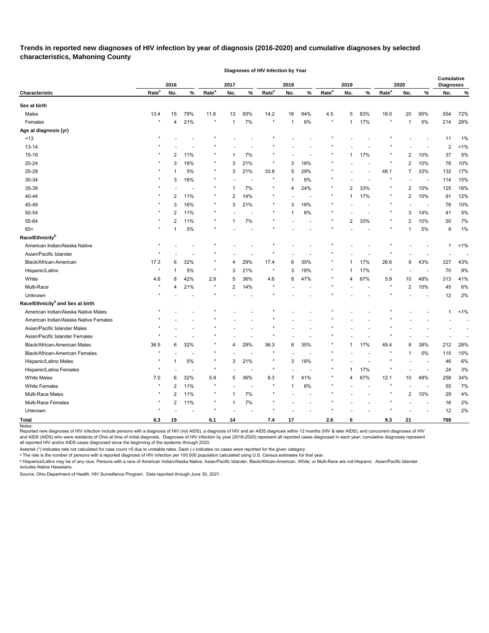**Trends in reported new diagnoses of HIV infection by year of diagnosis (2016-2020) and cumulative diagnoses by selected characteristics, Mahoning County** 

**Diagnoses of HIV Infection by Year**

|                                              |                   | 2016           |                          |                   | 2017           |                          |                   | 2018           |      |                   | 2019           |                          |                   | 2020           |                          | Cumulative<br><b>Diagnoses</b> |         |
|----------------------------------------------|-------------------|----------------|--------------------------|-------------------|----------------|--------------------------|-------------------|----------------|------|-------------------|----------------|--------------------------|-------------------|----------------|--------------------------|--------------------------------|---------|
| Characteristic                               | Rate <sup>a</sup> | No.            | $\%$                     | Rate <sup>a</sup> | No.            | %                        | Rate <sup>a</sup> | No.            | $\%$ | Rate <sup>a</sup> | No.            | $\%$                     | Rate <sup>a</sup> | No.            | %                        | No.                            | $\%$    |
| Sex at birth                                 |                   |                |                          |                   |                |                          |                   |                |      |                   |                |                          |                   |                |                          |                                |         |
| Males                                        | 13.4              | 15             | 79%                      | 11.6              | 13             | 93%                      | 14.2              | 16             | 94%  | 4.5               | 5              | 83%                      | 18.0              | 20             | 95%                      | 554                            | 72%     |
| Females                                      | $\star$           | 4              | 21%                      | $\star$           | $\overline{1}$ | 7%                       |                   | 1              | 6%   |                   | $\mathbf 1$    | 17%                      |                   | 1              | 5%                       | 214                            | 28%     |
| Age at diagnosis (yr)                        |                   |                |                          |                   |                |                          |                   |                |      |                   |                |                          |                   |                |                          |                                |         |
| < 13                                         |                   |                |                          |                   |                |                          |                   |                |      |                   |                |                          |                   |                |                          | 11                             | 1%      |
| $13 - 14$                                    |                   |                |                          |                   |                |                          |                   |                |      |                   |                |                          |                   |                |                          | $\overline{2}$                 | 1%      |
| 15-19                                        |                   | 2              | 11%                      |                   |                | 7%                       |                   |                |      |                   | 1              | 17%                      |                   | 2              | 10%                      | 37                             | 5%      |
| 20-24                                        |                   | 3              | 16%                      | $^\ast$           | 3              | 21%                      | $\star$           | 3              | 18%  |                   |                | $\overline{a}$           |                   | 2              | 10%                      | 78                             | 10%     |
| 25-29                                        |                   |                | 5%                       | $^\ast$           | 3              | 21%                      | 33.8              | 5              | 29%  |                   |                |                          | 48.1              | 7              | 33%                      | 132                            | 17%     |
| 30-34                                        |                   | 3              | 16%                      |                   |                | $\overline{\phantom{a}}$ |                   | 1              | 6%   |                   |                | $\overline{\phantom{a}}$ |                   |                | $\overline{\phantom{a}}$ | 114                            | 15%     |
| 35-39                                        |                   |                |                          |                   |                | 7%                       |                   | 4              | 24%  |                   | 2              | 33%                      |                   | 2              | 10%                      | 125                            | 16%     |
| 40-44                                        |                   | 2              | 11%                      | $\star$           | $\overline{2}$ | 14%                      | $\ast$            |                |      |                   | $\mathbf 1$    | 17%                      |                   | 2              | 10%                      | 91                             | 12%     |
| 45-49                                        |                   | 3              | 16%                      | $\star$           | 3              | 21%                      | $^\star$          | 3              | 18%  |                   |                | $\overline{\phantom{a}}$ |                   |                | $\overline{\phantom{a}}$ | 78                             | 10%     |
| 50-54                                        |                   | 2              | 11%                      | $\star$           |                |                          |                   | 1              | 6%   |                   |                |                          |                   | 3              | 14%                      | 41                             | 5%      |
| 55-64                                        |                   | 2              | 11%                      |                   |                | 7%                       |                   |                |      |                   | 2              | 33%                      |                   | 2              | 10%                      | 50                             | 7%      |
| $65+$                                        |                   |                | 5%                       |                   |                |                          |                   |                |      |                   |                |                          |                   | 1              | 5%                       | 9                              | 1%      |
| Race/Ethnicity <sup>b</sup>                  |                   |                |                          |                   |                |                          |                   |                |      |                   |                |                          |                   |                |                          |                                |         |
| American Indian/Alaska Native                |                   |                |                          |                   |                |                          |                   |                |      |                   |                |                          |                   |                |                          | -1                             | $< 1\%$ |
| Asian/Pacific Islander                       |                   |                |                          |                   |                |                          |                   |                |      |                   |                |                          |                   |                |                          |                                |         |
| Black/African-American                       | 17.3              | 6              | 32%                      |                   | 4              | 29%                      | 17.4              | 6              | 35%  |                   | 1              | 17%                      | 26.6              | 9              | 43%                      | 327                            | 43%     |
| Hispanic/Latinx                              | $\ast$            |                | 5%                       | $\star$           | 3              | 21%                      |                   | 3              | 18%  |                   | 1              | 17%                      |                   |                | $\overline{\phantom{a}}$ | 70                             | 9%      |
| White                                        | 4.6               | 8              | 42%                      | 2.9               | 5              | 36%                      | 4.6               | 8              | 47%  |                   | 4              | 67%                      | 5.9               | 10             | 48%                      | 313                            | 41%     |
| Multi-Race                                   |                   | 4              | 21%                      | $\star$           | 2              | 14%                      |                   |                |      |                   |                |                          |                   | 2              | 10%                      | 45                             | 6%      |
| Unknown                                      |                   |                |                          | $\star$           |                |                          |                   |                |      |                   |                |                          |                   |                |                          | 12                             | 2%      |
| Race/Ethnicity <sup>b</sup> and Sex at birth |                   |                |                          |                   |                |                          |                   |                |      |                   |                |                          |                   |                |                          |                                |         |
| American Indian/Alaska Native Males          |                   |                |                          |                   |                |                          |                   |                |      |                   |                |                          |                   |                |                          | -1                             | $< 1\%$ |
| American Indian/Alaska Native Females        |                   |                |                          |                   |                |                          |                   |                |      |                   |                |                          |                   |                |                          |                                |         |
| Asian/Pacific Islander Males                 |                   |                |                          |                   |                |                          |                   |                |      |                   |                |                          |                   |                |                          |                                |         |
| Asian/Pacific Islander Females               |                   |                |                          |                   |                |                          |                   |                |      |                   |                |                          |                   |                |                          |                                |         |
| Black/African-American Males                 | 36.5              | 6              | 32%                      |                   | 4              | 29%                      | 36.3              | 6              | 35%  |                   | 1              | 17%                      | 49.4              | 8              | 38%                      | 212                            | 28%     |
| Black/African-American Females               | $\star$           |                |                          | $\star$           |                |                          |                   |                |      |                   |                |                          |                   | 1              | 5%                       | 115                            | 15%     |
| Hispanic/Latino Males                        |                   | 1              | $5\%$                    | $\star$           | 3              | 21%                      | $^\star$          | 3              | 18%  |                   |                |                          |                   |                |                          | 46                             | 6%      |
| Hispanic/Latina Females                      | $\star$           |                | $\overline{\phantom{a}}$ | $\star$           |                | $\overline{\phantom{a}}$ | $\star$           |                |      |                   | 1              | 17%                      |                   |                |                          | 24                             | 3%      |
| White Males                                  | 7.0               | 6              | 32%                      | $5.9\,$           | 5              | 36%                      | $8.3\,$           | $\overline{7}$ | 41%  |                   | $\overline{4}$ | 67%                      | 12.1              | $10\,$         | 48%                      | 258                            | 34%     |
| White Females                                | $\star$           | $\overline{2}$ | 11%                      | $\star$           |                | $\overline{\phantom{a}}$ | $\star$           | $\mathbf 1$    | 6%   |                   |                | $\overline{\phantom{a}}$ |                   |                | $\overline{\phantom{a}}$ | 55                             | 7%      |
| Multi-Race Males                             | $^\ast$           | $\overline{2}$ | 11%                      | $\star$           | 1              | 7%                       |                   |                |      |                   |                |                          |                   | $\overline{2}$ | 10%                      | 29                             | 4%      |
| Multi-Race Females                           | $^\ast$           | 2              | 11%                      | $\star$           | $\overline{1}$ | 7%                       | $\star$           |                |      |                   |                |                          |                   |                | $\overline{\phantom{a}}$ | 16                             | 2%      |
| Unknown                                      | $\star$           |                | $\overline{\phantom{a}}$ | $\star$           |                | $\overline{\phantom{a}}$ | $\star$           |                |      |                   |                |                          |                   |                |                          | 12                             | 2%      |
| <b>Total</b>                                 | 8.3               | 19             |                          | 6.1               | 14             |                          | 7.4               | 17             |      | $2.6\,$           | 6              |                          | 9.3               | 21             |                          | 768                            |         |
| Notes:                                       |                   |                |                          |                   |                |                          |                   |                |      |                   |                |                          |                   |                |                          |                                |         |

Reported new diagnoses of HIV infection include persons with a diagnosis of HIV (not AIDS), a diagnosis of HIV and an AIDS diagnosis within 12 months (HIV & later AIDS), and concurrent diagnoses of HIV and AIDS (AIDS) who were residents of Ohio at time of initial diagnosis. Diagnoses of HIV infection by year (2016-2020) represent all reported cases diagnosed in each year; cumulative diagnoses represent all reported HIV and/or AIDS cases diagnosed since the beginning of the epidemic through 2020.

Asterisk (\*) indicates rate not calculated for case count <5 due to unstable rates. Dash (-) indicates no cases were reported for the given category.

ᵃ The rate is the number of persons with a reported diagnosis of HIV infection per 100,000 population calculated using U.S. Census estimates for that year.

<sup>ь</sup> Hispanics/Latinx may be of any race. Persons with a race of American Indian/Alaska Native, Asian/Pacific Islander, Black/African-American, White, or Multi-Race are not-Hispanic. Asian/Pacific Islander includes Native Hawaiians.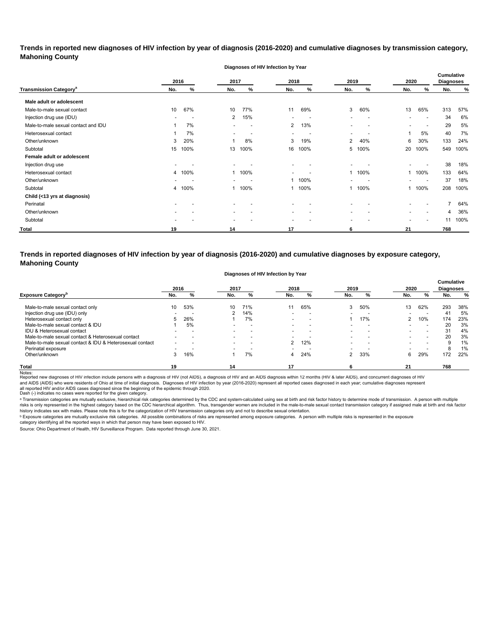**Trends in reported new diagnoses of HIV infection by year of diagnosis (2016-2020) and cumulative diagnoses by transmission category, Mahoning County**

**Diagnoses of HIV Infection by Year**

|                                          |                          | 2016<br>2017 |                |                          | 2018<br>2019             |                          |                          | 2020                     |                          | <b>Cumulative</b><br><b>Diagnoses</b> |     |      |
|------------------------------------------|--------------------------|--------------|----------------|--------------------------|--------------------------|--------------------------|--------------------------|--------------------------|--------------------------|---------------------------------------|-----|------|
| <b>Transmission Category<sup>a</sup></b> | No.                      | %            | No.            | %                        | No.                      | %                        | No.                      | %                        | No.                      | %                                     | No. | $\%$ |
| Male adult or adolescent                 |                          |              |                |                          |                          |                          |                          |                          |                          |                                       |     |      |
| Male-to-male sexual contact              | 10                       | 67%          | 10             | 77%                      | 11                       | 69%                      | 3                        | 60%                      | 13                       | 65%                                   | 313 | 57%  |
| Injection drug use (IDU)                 |                          |              | 2              | 15%                      |                          | $\overline{\phantom{a}}$ |                          | $\overline{\phantom{a}}$ |                          | $\overline{\phantom{a}}$              | 34  | 6%   |
| Male-to-male sexual contact and IDU      |                          | 7%           | -              | $\overline{\phantom{a}}$ | $\overline{2}$           | 13%                      | ٠                        | $\overline{\phantom{0}}$ | $\overline{\phantom{0}}$ | $\overline{\phantom{a}}$              | 29  | 5%   |
| Heterosexual contact                     |                          | 7%           |                |                          | $\overline{\phantom{a}}$ |                          | $\overline{\phantom{0}}$ |                          |                          | 5%                                    | 40  | 7%   |
| Other/unknown                            | 3                        | 20%          |                | 8%                       | 3                        | 19%                      | $\overline{2}$           | 40%                      | 6                        | 30%                                   | 133 | 24%  |
| Subtotal                                 | 15                       | 100%         | 13             | 100%                     | 16                       | 100%                     | 5                        | 100%                     | 20                       | 100%                                  | 549 | 100% |
| Female adult or adolescent               |                          |              |                |                          |                          |                          |                          |                          |                          |                                       |     |      |
| Injection drug use                       |                          |              |                |                          | $\overline{\phantom{0}}$ |                          |                          |                          |                          |                                       | 38  | 18%  |
| Heterosexual contact                     |                          | 4 100%       |                | 100%                     |                          |                          |                          | 1 100%                   |                          | 100%                                  | 133 | 64%  |
| Other/unknown                            |                          |              |                |                          | 1                        | 100%                     |                          |                          |                          | $\overline{\phantom{a}}$              | 37  | 18%  |
| Subtotal                                 | 4                        | 100%         |                | 100%                     | 1                        | 100%                     | $\mathbf{1}$             | 100%                     | 1                        | 100%                                  | 208 | 100% |
| Child (<13 yrs at diagnosis)             |                          |              |                |                          |                          |                          |                          |                          |                          |                                       |     |      |
| Perinatal                                | $\overline{\phantom{0}}$ |              |                |                          | $\blacksquare$           |                          |                          |                          |                          |                                       |     | 64%  |
| Other/unknown                            |                          |              |                |                          | $\overline{\phantom{a}}$ |                          |                          |                          |                          |                                       | 4   | 36%  |
| Subtotal                                 |                          |              | $\blacksquare$ |                          | $\overline{\phantom{0}}$ |                          | $\overline{\phantom{0}}$ |                          |                          |                                       | 11  | 100% |
| Total                                    | 19                       |              | 14             |                          | 17                       |                          | 6                        |                          | 21                       |                                       | 768 |      |

**Trends in reported diagnoses of HIV infection by year of diagnosis (2016-2020) and cumulative diagnoses by exposure category, Mahoning County**

#### **Diagnoses of HIV Infection by Year**

|                                                          |     | 2016                     |                          | 2017                     |                          | 2018 |                          | 2019                     |               | 2020                     | <b>Cumulative</b><br><b>Diagnoses</b> |     |
|----------------------------------------------------------|-----|--------------------------|--------------------------|--------------------------|--------------------------|------|--------------------------|--------------------------|---------------|--------------------------|---------------------------------------|-----|
| <b>Exposure Category</b>                                 | No. |                          | No.                      | %                        | No.                      | %    | No.                      | %                        | No.           | %                        | No.                                   | %   |
| Male-to-male sexual contact only                         | 10  | 53%                      | 10                       | 71%                      |                          | 65%  | 3                        | 50%                      | 13            | 62%                      | 293                                   | 38% |
| Injection drug use (IDU) only                            |     |                          |                          | 14%                      |                          |      |                          |                          |               |                          | 41                                    | 5%  |
| Heterosexual contact only                                | 5.  | 26%                      |                          | 7%                       | $\overline{\phantom{0}}$ | -    |                          | 17%                      | $\mathcal{P}$ | 10%                      | 174                                   | 23% |
| Male-to-male sexual contact & IDU                        |     | 5%                       |                          |                          |                          |      |                          | $\overline{\phantom{0}}$ |               | $\overline{\phantom{0}}$ | 20                                    | 3%  |
| IDU & Heterosexual contact                               |     | -                        | $\overline{\phantom{0}}$ | $\overline{\phantom{0}}$ | $\overline{\phantom{0}}$ | -    |                          | $\overline{\phantom{0}}$ |               | $\overline{\phantom{0}}$ | 31                                    | 4%  |
| Male-to-male sexual contact & Heterosexual contact       |     | $\overline{\phantom{0}}$ | $\overline{\phantom{a}}$ | $\overline{\phantom{0}}$ |                          |      | $\overline{\phantom{0}}$ | $\overline{\phantom{a}}$ |               | $\overline{\phantom{a}}$ | 20                                    | 3%  |
| Male-to-male sexual contact & IDU & Heterosexual contact |     | $\overline{\phantom{0}}$ | $\overline{\phantom{0}}$ |                          | $\mathbf{2}$             | 12%  |                          | -                        |               | $\overline{\phantom{a}}$ | 9                                     | 1%  |
| Perinatal exposure                                       |     |                          |                          |                          |                          |      |                          |                          |               |                          | 8                                     | 1%  |
| Other/unknown                                            |     | 16%                      |                          | 7%                       | 4                        | 24%  | $\mathbf{2}$             | 33%                      | 6             | 29%                      | 172                                   | 22% |
| <b>Total</b>                                             | 19  |                          | 14                       |                          | 17                       |      |                          |                          | 21            |                          | 768                                   |     |

Notes:<br>Reported new diagnoses of HIV infection include persons with a diagnosis of HIV (not AIDS), a diagnosis addignosis of HIDS diagnosis within 12 months (HIV & later AIDS), and concurrent diagnoses of HIV all reported HIV and/or AIDS cases diagnosed since the beginning of the epidemic through 2020.<br>Dash (-) indicates no cases were reported for the given category. and AIDS (AIDS) who were residents of Ohio at time of initial diagnosis. Diagnoses of HIV infection by year (2016-2020) represent all reported cases diagnosed in each year; cumulative diagnoses represent

a Transmission categories are mutually exclusive, hierarchical risk categories determined by the CDC and system-calculated using sex at birth and risk factor history to determine mode of transmission. A person with multip risks is only represented in the highest category based on the CDC hierarchical algorithm. Thus, transgender women are included in the male-to-male sexual contact transmission category if assigned male at birth and risk f history indicates sex with males. Please note this is for the categorization of HIV transmission categories only and not to describe sexual orientation.

 $^{\rm b}$  Exposure categories are mutually exclusive risk categories. All possible combinations of risks are represented among exposure categories. A person with multiple risks is represented in the exposure

category identifying all the reported ways in which that person may have been exposed to HIV. Source: Ohio Department of Health, HIV Surveillance Program. Data reported through June 30, 2021.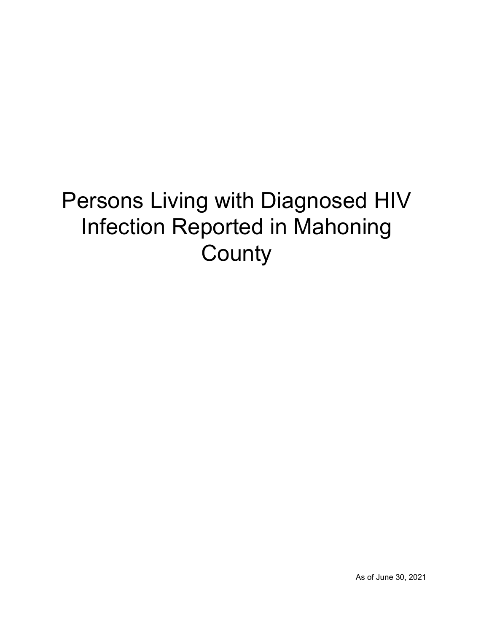# Persons Living with Diagnosed HIV Infection Reported in Mahoning **County**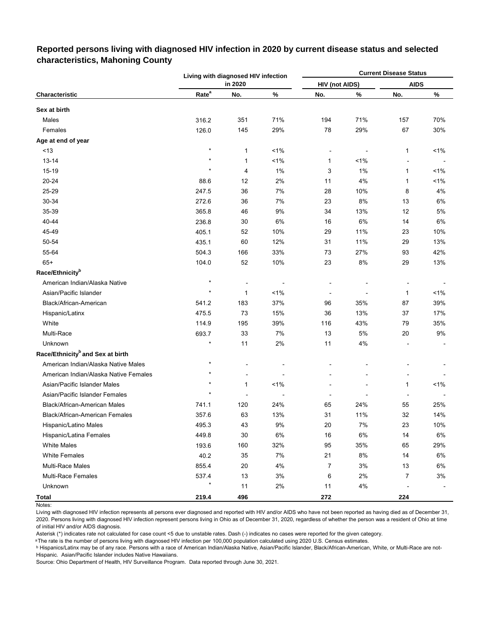|                                              |                   | Living with diagnosed HIV infection |       |                       |                | <b>Current Disease Status</b> |       |
|----------------------------------------------|-------------------|-------------------------------------|-------|-----------------------|----------------|-------------------------------|-------|
|                                              |                   | in 2020                             |       | <b>HIV (not AIDS)</b> |                | <b>AIDS</b>                   |       |
| Characteristic                               | Rate <sup>a</sup> | No.                                 | %     | No.                   | $\%$           | No.                           | ℅     |
| Sex at birth                                 |                   |                                     |       |                       |                |                               |       |
| Males                                        | 316.2             | 351                                 | 71%   | 194                   | 71%            | 157                           | 70%   |
| Females                                      | 126.0             | 145                                 | 29%   | 78                    | 29%            | 67                            | 30%   |
| Age at end of year                           |                   |                                     |       |                       |                |                               |       |
| < 13                                         | $\star$           | 1                                   | $1\%$ |                       | $\overline{a}$ | 1                             | $1\%$ |
| $13 - 14$                                    |                   | 1                                   | $1\%$ | 1                     | $1\%$          |                               |       |
| 15-19                                        | $\star$           | 4                                   | 1%    | 3                     | 1%             | 1                             | $1\%$ |
| 20-24                                        | 88.6              | 12                                  | 2%    | 11                    | 4%             | 1                             | $1\%$ |
| 25-29                                        | 247.5             | 36                                  | 7%    | 28                    | 10%            | 8                             | 4%    |
| 30-34                                        | 272.6             | 36                                  | 7%    | 23                    | 8%             | 13                            | 6%    |
| 35-39                                        | 365.8             | 46                                  | 9%    | 34                    | 13%            | 12                            | 5%    |
| 40-44                                        | 236.8             | 30                                  | 6%    | 16                    | 6%             | 14                            | 6%    |
| 45-49                                        | 405.1             | 52                                  | 10%   | 29                    | 11%            | 23                            | 10%   |
| 50-54                                        | 435.1             | 60                                  | 12%   | 31                    | 11%            | 29                            | 13%   |
| 55-64                                        | 504.3             | 166                                 | 33%   | 73                    | 27%            | 93                            | 42%   |
| $65+$                                        | 104.0             | 52                                  | 10%   | 23                    | 8%             | 29                            | 13%   |
| Race/Ethnicity <sup>b</sup>                  |                   |                                     |       |                       |                |                               |       |
| American Indian/Alaska Native                | $\star$           |                                     |       |                       |                |                               |       |
| Asian/Pacific Islander                       | $\star$           | 1                                   | 1%    |                       |                | 1                             | 1%    |
| Black/African-American                       | 541.2             | 183                                 | 37%   | 96                    | 35%            | 87                            | 39%   |
| Hispanic/Latinx                              | 475.5             | 73                                  | 15%   | 36                    | 13%            | 37                            | 17%   |
| White                                        | 114.9             | 195                                 | 39%   | 116                   | 43%            | 79                            | 35%   |
| Multi-Race                                   | 693.7             | 33                                  | 7%    | 13                    | 5%             | 20                            | 9%    |
| Unknown                                      | $\star$           | 11                                  | 2%    | 11                    | 4%             |                               |       |
| Race/Ethnicity <sup>b</sup> and Sex at birth |                   |                                     |       |                       |                |                               |       |
| American Indian/Alaska Native Males          | $\star$           |                                     |       |                       |                |                               |       |
| American Indian/Alaska Native Females        | $\star$           | Ē,                                  |       |                       |                |                               |       |
| Asian/Pacific Islander Males                 |                   | $\mathbf{1}$                        | 1%    |                       |                | 1                             | 1%    |
| Asian/Pacific Islander Females               |                   |                                     |       |                       |                |                               |       |
| Black/African-American Males                 | 741.1             | 120                                 | 24%   | 65                    | 24%            | 55                            | 25%   |
| Black/African-American Females               | 357.6             | 63                                  | 13%   | 31                    | 11%            | 32                            | 14%   |
| Hispanic/Latino Males                        | 495.3             | 43                                  | 9%    | 20                    | 7%             | 23                            | 10%   |
| Hispanic/Latina Females                      | 449.8             | $30\,$                              | $6\%$ | $16\,$                | 6%             | 14                            | 6%    |
| <b>White Males</b>                           | 193.6             | 160                                 | 32%   | 95                    | 35%            | 65                            | 29%   |
| <b>White Females</b>                         | 40.2              | 35                                  | 7%    | 21                    | 8%             | 14                            | 6%    |
| <b>Multi-Race Males</b>                      | 855.4             | 20                                  | 4%    | 7                     | 3%             | 13                            | 6%    |
| <b>Multi-Race Females</b>                    | 537.4             | 13                                  | $3%$  | 6                     | 2%             | 7                             | 3%    |
| Unknown                                      | $\star$           | 11                                  | 2%    | 11                    | $4\%$          |                               |       |
| <b>Total</b>                                 | 219.4             | 496                                 |       | 272                   |                | 224                           |       |

## **Reported persons living with diagnosed HIV infection in 2020 by current disease status and selected characteristics, Mahoning County**

Notes:

Living with diagnosed HIV infection represents all persons ever diagnosed and reported with HIV and/or AIDS who have not been reported as having died as of December 31, 2020. Persons living with diagnosed HIV infection represent persons living in Ohio as of December 31, 2020, regardless of whether the person was a resident of Ohio at time of initial HIV and/or AIDS diagnosis.

Asterisk (\*) indicates rate not calculated for case count <5 due to unstable rates. Dash (-) indicates no cases were reported for the given category.

a The rate is the number of persons living with diagnosed HIV infection per 100,000 population calculated using 2020 U.S. Census estimates.

ᵇ Hispanics/Latinx may be of any race. Persons with a race of American Indian/Alaska Native, Asian/Pacific Islander, Black/African-American, White, or Multi-Race are not-Hispanic. Asian/Pacific Islander includes Native Hawaiians.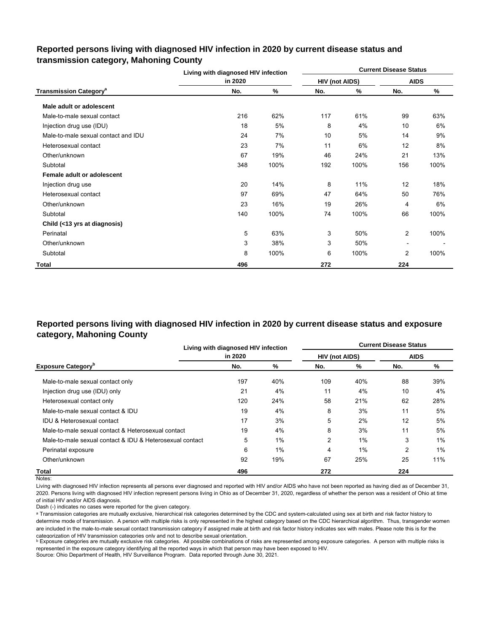## **Reported persons living with diagnosed HIV infection in 2020 by current disease status and transmission category, Mahoning County**

|                                          | Living with diagnosed HIV infection |      |                       |      | <b>Current Disease Status</b> |      |
|------------------------------------------|-------------------------------------|------|-----------------------|------|-------------------------------|------|
|                                          | in 2020                             |      | <b>HIV (not AIDS)</b> |      | <b>AIDS</b>                   |      |
| <b>Transmission Category<sup>a</sup></b> | No.                                 | %    | No.                   | %    | No.                           | %    |
| Male adult or adolescent                 |                                     |      |                       |      |                               |      |
| Male-to-male sexual contact              | 216                                 | 62%  | 117                   | 61%  | 99                            | 63%  |
| Injection drug use (IDU)                 | 18                                  | 5%   | 8                     | 4%   | 10                            | 6%   |
| Male-to-male sexual contact and IDU      | 24                                  | 7%   | 10                    | 5%   | 14                            | 9%   |
| Heterosexual contact                     | 23                                  | 7%   | 11                    | 6%   | 12                            | 8%   |
| Other/unknown                            | 67                                  | 19%  | 46                    | 24%  | 21                            | 13%  |
| Subtotal                                 | 348                                 | 100% | 192                   | 100% | 156                           | 100% |
| Female adult or adolescent               |                                     |      |                       |      |                               |      |
| Injection drug use                       | 20                                  | 14%  | 8                     | 11%  | 12                            | 18%  |
| Heterosexual contact                     | 97                                  | 69%  | 47                    | 64%  | 50                            | 76%  |
| Other/unknown                            | 23                                  | 16%  | 19                    | 26%  | 4                             | 6%   |
| Subtotal                                 | 140                                 | 100% | 74                    | 100% | 66                            | 100% |
| Child (<13 yrs at diagnosis)             |                                     |      |                       |      |                               |      |
| Perinatal                                | 5                                   | 63%  | 3                     | 50%  | 2                             | 100% |
| Other/unknown                            | 3                                   | 38%  | 3                     | 50%  | $\overline{\phantom{a}}$      |      |
| Subtotal                                 | 8                                   | 100% | 6                     | 100% | $\overline{2}$                | 100% |
| Total                                    | 496                                 |      | 272                   |      | 224                           |      |

## **Reported persons living with diagnosed HIV infection in 2020 by current disease status and exposure category, Mahoning County**

|                                                          |         | Living with diagnosed HIV infection |                       |       |             | <b>Current Disease Status</b> |
|----------------------------------------------------------|---------|-------------------------------------|-----------------------|-------|-------------|-------------------------------|
|                                                          | in 2020 |                                     | <b>HIV (not AIDS)</b> |       | <b>AIDS</b> |                               |
| <b>Exposure Category</b> <sup>b</sup>                    | No.     | %                                   | No.                   | %     | No.         | %                             |
| Male-to-male sexual contact only                         | 197     | 40%                                 | 109                   | 40%   | 88          | 39%                           |
| Injection drug use (IDU) only                            | 21      | 4%                                  | 11                    | 4%    | 10          | 4%                            |
| Heterosexual contact only                                | 120     | 24%                                 | 58                    | 21%   | 62          | 28%                           |
| Male-to-male sexual contact & IDU                        | 19      | 4%                                  | 8                     | 3%    | 11          | 5%                            |
| <b>IDU &amp; Heterosexual contact</b>                    | 17      | 3%                                  | 5                     | 2%    | 12          | 5%                            |
| Male-to-male sexual contact & Heterosexual contact       | 19      | 4%                                  | 8                     | 3%    | 11          | 5%                            |
| Male-to-male sexual contact & IDU & Heterosexual contact | 5       | 1%                                  | 2                     | 1%    | 3           | 1%                            |
| Perinatal exposure                                       | 6       | 1%                                  | 4                     | $1\%$ | 2           | 1%                            |
| Other/unknown                                            | 92      | 19%                                 | 67                    | 25%   | 25          | 11%                           |
| Total                                                    | 496     |                                     | 272                   |       | 224         |                               |

Notes:

Living with diagnosed HIV infection represents all persons ever diagnosed and reported with HIV and/or AIDS who have not been reported as having died as of December 31, 2020. Persons living with diagnosed HIV infection represent persons living in Ohio as of December 31, 2020, regardless of whether the person was a resident of Ohio at time of initial HIV and/or AIDS diagnosis.

Dash (-) indicates no cases were reported for the given category.

a Transmission categories are mutually exclusive, hierarchical risk categories determined by the CDC and system-calculated using sex at birth and risk factor history to determine mode of transmission. A person with multiple risks is only represented in the highest category based on the CDC hierarchical algorithm. Thus, transgender women are included in the male-to-male sexual contact transmission category if assigned male at birth and risk factor history indicates sex with males. Please note this is for the categorization of HIV transmission categories only and not to describe sexual orientation.

**b** Exposure categories are mutually exclusive risk categories. All possible combinations of risks are represented among exposure categories. A person with multiple risks is represented in the exposure category identifying all the reported ways in which that person may have been exposed to HIV.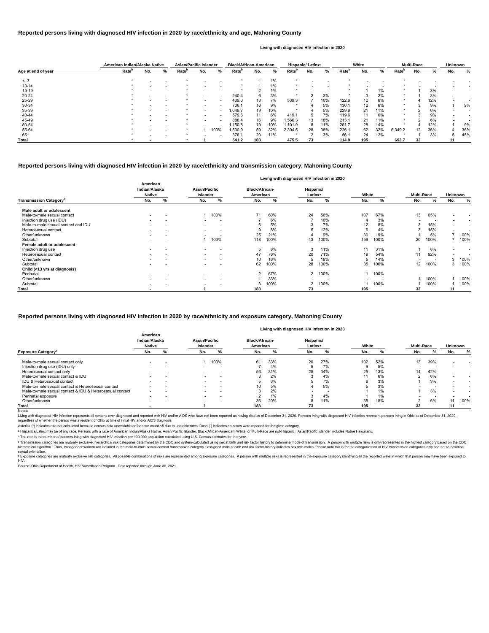|                    |                   | American Indian/Alaska Native |   | <b>Asian/Pacific Islander</b> |                          |                          | <b>Black/African-American</b> |     |       | Hispanic/ Latinx <sup>a</sup> |     |                          | White             |     |     |                   | <b>Multi-Race</b> |     | Unknown |     |
|--------------------|-------------------|-------------------------------|---|-------------------------------|--------------------------|--------------------------|-------------------------------|-----|-------|-------------------------------|-----|--------------------------|-------------------|-----|-----|-------------------|-------------------|-----|---------|-----|
| Age at end of year | Rate <sup>b</sup> | No.                           | % | Rate <sup>r</sup>             | No.                      | %                        | Rate <sup>r</sup>             | No. | %     | Rate <sup>p</sup>             | No. | %                        | Rate <sup>p</sup> | No. | %   | Rate <sup>'</sup> | No.               | %   | No.     | ℅   |
| ~13                |                   |                               |   |                               |                          |                          |                               |     | $1\%$ |                               |     |                          |                   |     |     |                   |                   |     |         |     |
| $13 - 14$          |                   |                               |   |                               |                          | $\overline{\phantom{0}}$ |                               |     | 1%    |                               |     | $\overline{\phantom{a}}$ |                   |     |     |                   |                   |     |         |     |
| $15 - 19$          |                   |                               |   |                               |                          |                          |                               |     | 1%    |                               |     |                          |                   |     | 1%  |                   |                   | 3%  |         |     |
| 20-24              |                   |                               |   |                               |                          | $\overline{\phantom{a}}$ | 240.4                         | 6   | 3%    |                               |     | 3%                       |                   |     | 2%  |                   |                   | 3%  |         |     |
| 25-29              |                   |                               |   |                               | $\overline{\phantom{0}}$ | $\overline{\phantom{a}}$ | 439.0                         | 13  | 7%    | 539.3                         |     | 10%                      | 122.6             | 12  | 6%  |                   |                   | 12% |         |     |
| 30-34              |                   |                               |   |                               |                          | . .                      | 706.1                         | 16  | 9%    |                               |     | 5%                       | 130.1             | 12  | 6%  |                   |                   | 9%  |         | 9%  |
| 35-39              |                   |                               |   |                               | $\overline{\phantom{0}}$ | $\overline{\phantom{a}}$ | 1,049.7                       | 19  | 10%   | $\star$                       |     | 5%                       | 229.6             | 21  | 11% |                   |                   | 6%  |         |     |
| 40-44              |                   |                               |   |                               |                          |                          | 579.6                         | 11  | 6%    | 419.1                         | 5   | 7%                       | 119.6             |     | 6%  |                   |                   | 9%  |         |     |
| 45-49              |                   |                               |   |                               | $\overline{\phantom{a}}$ | $\overline{\phantom{a}}$ | 888.4                         | 16  | 9%    | .566.3                        | 13  | 18%                      | 213.1             | 21  | 11% |                   |                   | 6%  |         |     |
| 50-54              |                   |                               |   |                               |                          | $\overline{\phantom{a}}$ | 1,150.8                       | 19  | 10%   | ,101.9                        | 8   | 11%                      | 251.7             | 28  | 14% |                   |                   | 12% |         | 9%  |
| 55-64              |                   |                               |   |                               |                          | 100%                     | .530.9                        | 59  | 32%   | 2,304.5                       | 28  | 38%                      | 226.1             | 62  | 32% | 6,349.2           | 12 <sup>1</sup>   | 36% |         | 36% |
| $65+$              |                   |                               |   |                               |                          | . .                      | 376.1                         | 20  | 11%   |                               |     | 3%                       | 56.1              | 24  | 12% |                   |                   | 3%  |         | 45% |
| <b>Total</b>       |                   | -                             |   |                               |                          |                          | 541.2                         | 183 |       | 475.5                         | 73  |                          | 114.9             | 195 |     | 693.7             | 33                |     |         |     |

© Transmission categories are mutually exclusive, hierarchical risk categories determined by the CDC and system-calculated using sex at birth and risk factor history to determine mode of transmission. A person with multip hierarchical algorithm. Thus, transgender women are included in the male-to-male sexual contact transmission category if assigned male at birth and risk factor history indicates sex with males. Please note this is for the sexual orientation.

<sup>d</sup> Exposure categories are mutually exclusive risk categories. All possible combinations of risks are represented among exposure categories. A person with multiple risks is represented in the exposure category identifying

|                                           | Living with diagnosed HIV infection in 2020 |   |                                  |                          |                                   |      |                                  |      |       |      |                          |      |                          |                          |
|-------------------------------------------|---------------------------------------------|---|----------------------------------|--------------------------|-----------------------------------|------|----------------------------------|------|-------|------|--------------------------|------|--------------------------|--------------------------|
|                                           | American<br>Indian/Alaska<br><b>Native</b>  |   | Asian/Pacific<br><b>Islander</b> |                          | <b>Black/African-</b><br>American |      | Hispanic/<br>Latinx <sup>a</sup> |      | White |      | <b>Multi-Race</b>        |      | <b>Unknown</b>           |                          |
| <b>Transmission Category</b> <sup>c</sup> | No.                                         | % | No.                              | %                        | No.                               | %    | No.                              | %    | No.   | %    | No.                      | %    | No.                      | %                        |
| Male adult or adolescent                  |                                             |   |                                  |                          |                                   |      |                                  |      |       |      |                          |      |                          |                          |
| Male-to-male sexual contact               | $\overline{\phantom{a}}$                    |   |                                  | 100%                     | 71                                | 60%  | 24                               | 56%  | 107   | 67%  | 13                       | 65%  |                          |                          |
| Injection drug use (IDU)                  | $\overline{\phantom{0}}$                    |   |                                  | $\overline{\phantom{a}}$ |                                   | 6%   |                                  | 16%  |       | 3%   |                          |      |                          | $\overline{\phantom{0}}$ |
| Male-to-male sexual contact and IDU       |                                             |   |                                  | $\overline{\phantom{a}}$ |                                   | 5%   | 3                                | 7%   | 12    | 8%   | 3                        | 15%  |                          |                          |
| Heterosexual contact                      | $\overline{\phantom{0}}$                    |   | $\overline{\phantom{0}}$         |                          |                                   | 8%   |                                  | 12%  | 6     | 4%   | 3                        | 15%  | $\overline{\phantom{0}}$ | $\overline{\phantom{0}}$ |
| Other/unknown                             |                                             |   |                                  |                          | 25                                | 21%  |                                  | 9%   | 30    | 19%  |                          | 5%   |                          | 100%                     |
| Subtotal                                  | $\overline{\phantom{0}}$                    |   |                                  | 100%                     | 118                               | 100% | 43                               | 100% | 159   | 100% | 20                       | 100% |                          | 100%                     |
| Female adult or adolescent                |                                             |   |                                  |                          |                                   |      |                                  |      |       |      |                          |      |                          |                          |
| Injection drug use                        | $\overline{\phantom{0}}$                    |   |                                  |                          | ১                                 | 8%   | 3                                | 11%  | 11    | 31%  |                          | 8%   |                          |                          |
| Heterosexual contact                      |                                             |   | $\overline{a}$                   |                          | 47                                | 76%  | 20                               | 71%  | 19    | 54%  | 11                       | 92%  |                          |                          |
| Other/unknown                             |                                             |   | $\overline{a}$                   |                          | 10                                | 16%  |                                  | 18%  |       | 14%  | $\overline{\phantom{a}}$ |      |                          | 100%                     |
| Subtotal                                  |                                             |   |                                  |                          | 62                                | 100% | 28                               | 100% | 35    | 100% | 12                       | 100% |                          | 100%                     |
| Child (<13 yrs at diagnosis)              |                                             |   |                                  |                          |                                   |      |                                  |      |       |      |                          |      |                          |                          |
| Perinatal                                 | $\overline{\phantom{a}}$                    |   | $\sim$                           | $\overline{\phantom{a}}$ | 2                                 | 67%  | 2                                | 100% |       | 100% |                          |      |                          |                          |
| Other/unknown                             | $\overline{\phantom{0}}$                    |   | $\sim$                           | $\overline{\phantom{a}}$ |                                   | 33%  |                                  |      |       |      |                          | 100% |                          | 100%                     |
| Subtotal                                  |                                             |   | $\overline{\phantom{a}}$         |                          |                                   | 100% | 2                                | 100% |       | 100% |                          | 100% |                          | 100%                     |
| <b>Total</b>                              | $\overline{\phantom{a}}$                    |   |                                  |                          | 183                               |      | 73                               |      | 195   |      | 33                       |      | 11                       |                          |

Living with diagnosed HIV infection represents all persons ever diagnosed and reported with HIV and/or AIDS who have not been reported as having died as of December 31, 2020. Persons living with diagnosed HIV infection rep regardless of whether the person was a resident of Ohio at time of initial HIV and/or AIDS diagnosis.

#### Notes:

#### **Reported persons living with diagnosed HIV infection in 2020 by race/ethnicity and transmission category, Mahoning County**

#### **Reported persons living with diagnosed HIV infection in 2020 by race/ethnicity and age, Mahoning County**

#### **Living with diagnosed HIV infection in 2020**

#### **Reported persons living with diagnosed HIV infection in 2020 by race/ethnicity and exposure category, Mahoning County**

#### **Living with diagnosed HIV infection in 2020**

Source: Ohio Department of Health, HIV Surveillance Program. Data reported through June 30, 2021.

|                                                          | American<br>Indian/Alaska<br><b>Native</b> |                          |                          | Asian/Pacific<br>Islander |     | <b>Black/African-</b><br>American |     | Hispanic/<br>Latinx <sup>a</sup> |     | White |     | <b>Multi-Race</b> |     | <b>Unknown</b> |
|----------------------------------------------------------|--------------------------------------------|--------------------------|--------------------------|---------------------------|-----|-----------------------------------|-----|----------------------------------|-----|-------|-----|-------------------|-----|----------------|
| <b>Exposure Category<sup>a</sup></b>                     | No.                                        |                          | No.                      |                           | No. |                                   | No. |                                  | No. |       | No. |                   | No. |                |
| Male-to-male sexual contact only                         | $\overline{\phantom{0}}$                   | $\overline{\phantom{a}}$ |                          | 100%                      | 61  | 33%                               | 20  | 27%                              | 102 | 52%   | 13  | 39%               |     |                |
| Injection drug use (IDU) only                            |                                            | $\overline{\phantom{a}}$ |                          | . .                       |     | 4%                                |     | 7%                               |     | 5%    |     |                   |     |                |
| Heterosexual contact only                                |                                            |                          | $\overline{\phantom{a}}$ |                           | 56  | 31%                               | 25  | 34%                              | 25  | 13%   | 14  | 42%               |     |                |
| Male-to-male sexual contact & IDU                        |                                            |                          | $\overline{\phantom{a}}$ |                           |     | 2%                                |     | 4%                               |     | 6%    |     | 6%                |     |                |
| IDU & Heterosexual contact                               | $\overline{\phantom{0}}$                   | $\overline{\phantom{a}}$ | $\sim$                   | $\overline{\phantom{a}}$  |     | 3%                                |     | 7%                               | 6   | 3%    |     | 3%                |     |                |
| Male-to-male sexual contact & Heterosexual contact       |                                            | $\overline{\phantom{a}}$ | $\overline{\phantom{a}}$ |                           | 10  | 5%                                |     | 5%                               |     | 3%    |     |                   |     |                |
| Male-to-male sexual contact & IDU & Heterosexual contact | $\overline{\phantom{a}}$                   |                          |                          |                           |     | 2%                                |     |                                  |     | 1%    |     | 3%                |     |                |
| Perinatal exposure                                       | $\overline{\phantom{a}}$                   | $\overline{\phantom{a}}$ | $\overline{\phantom{a}}$ | $\overline{\phantom{a}}$  |     | $1\%$                             |     | 4%                               |     | 1%    |     |                   |     |                |
| Other/unknown                                            |                                            | $\overline{\phantom{a}}$ |                          | -                         | 36  | 20%                               | 8   | 11%                              | 35  | 18%   |     | 6%                |     | 100%           |
| Total                                                    |                                            |                          |                          |                           | 183 |                                   |     |                                  | 195 |       | 33  |                   |     |                |

ᵇ The rate is the number of persons living with diagnosed HIV infection per 100,000 population calculated using U.S. Census estimates for that year.

Asterisk (\*) indicates rate not calculated because census data unavailable or for case count <5 due to unstable rates. Dash (-) indicates no cases were reported for the given category.

a Hispanics/Latinx may be of any race. Persons with a race of American Indian/Alaska Native, Asian/Pacific Islander, Black/African-American, White, or Multi-Race are not-Hispanic. Asian/Pacific Islander includes Native Haw

#### HIV.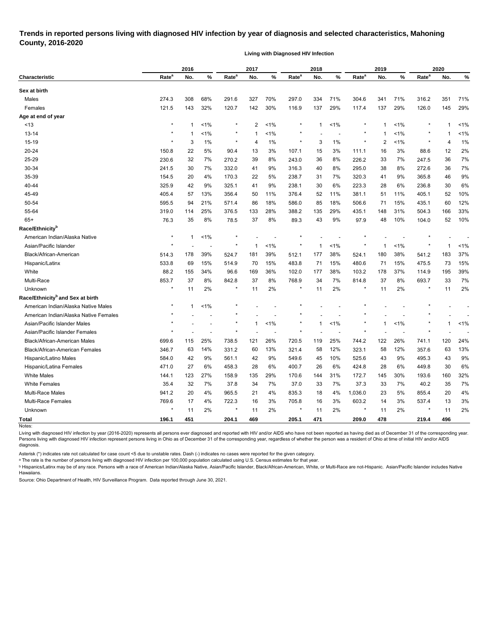## **Trends in reported persons living with diagnosed HIV infection by year of diagnosis and selected characteristics, Mahoning County, 2016-2020**

**Living with Diagnosed HIV Infection**

| Rate <sup>a</sup><br>Rate <sup>a</sup><br>Rate <sup>a</sup><br>Rate <sup>a</sup><br>Rate <sup>a</sup><br>%<br>%<br>%<br>No.<br>No.<br>No.<br><b>Characteristic</b><br>No.<br>No.<br>%<br>Sex at birth<br>327<br>308<br>68%<br>70%<br>334<br>71%<br>341<br>71%<br>351<br>Males<br>274.3<br>291.6<br>297.0<br>304.6<br>316.2<br>29%<br>Females<br>121.5<br>143<br>32%<br>142<br>30%<br>137<br>137<br>29%<br>126.0<br>145<br>120.7<br>116.9<br>117.4<br>Age at end of year<br>$\star$<br>$\ast$<br>~13<br>1%<br>2<br>$1\%$<br>$1\%$<br>1%<br>$\mathbf 1$<br>1<br>-1<br>1<br>1%<br>1%<br>1%<br>13-14<br>$\mathbf 1$<br>-1<br>-1<br>1<br>15-19<br>$\star$<br>$\star$<br>$\ast$<br>3<br>1%<br>1%<br>3<br>1%<br>$\ast$<br>2<br>1%<br>$^\ast$<br>4<br>4<br>20-24<br>22<br>5%<br>107.1<br>16<br>3%<br>150.8<br>90.4<br>13<br>3%<br>15<br>3%<br>111.1<br>88.6<br>12<br>25-29<br>7%<br>32<br>7%<br>39<br>8%<br>8%<br>33<br>247.5<br>36<br>230.6<br>270.2<br>243.0<br>36<br>226.2<br>30-34<br>30<br>7%<br>9%<br>8%<br>38<br>8%<br>36<br>241.5<br>332.0<br>41<br>316.3<br>40<br>295.0<br>272.6<br>35-39<br>154.5<br>4%<br>170.3<br>238.7<br>7%<br>320.3<br>9%<br>365.8<br>20<br>22<br>5%<br>31<br>41<br>46<br>9%<br>325.1<br>6%<br>6%<br>236.8<br>40-44<br>325.9<br>42<br>9%<br>238.1<br>30<br>223.3<br>28<br>30<br>41<br>45-49<br>13%<br>356.4<br>11%<br>52<br>11%<br>51<br>11%<br>52<br>405.4<br>57<br>50<br>376.4<br>381.1<br>405.1<br>50-54<br>21%<br>571.4<br>586.0<br>18%<br>506.6<br>71<br>15%<br>435.1<br>60<br>595.5<br>94<br>86<br>18%<br>85<br>55-64<br>376.5<br>29%<br>319.0<br>114<br>25%<br>133<br>28%<br>388.2<br>435.1<br>148<br>31%<br>504.3<br>166<br>135<br>$65+$<br>35<br>8%<br>37<br>8%<br>43<br>9%<br>48<br>10%<br>52<br>76.3<br>78.5<br>89.3<br>97.9<br>104.0<br>Race/Ethnicity <sup>b</sup><br>$\star$<br>1%<br>American Indian/Alaska Native<br>$\mathbf{1}$<br>$\star$<br>1%<br>Asian/Pacific Islander<br>$^\ast$<br>$\ast$<br>$1\%$<br>1%<br>$^\ast$<br>-1<br>-1<br>1<br>$\overline{\phantom{a}}$<br>Black/African-American<br>39%<br>39%<br>38%<br>180<br>38%<br>183<br>514.3<br>178<br>524.7<br>181<br>512.1<br>177<br>524.1<br>541.2<br>15%<br>533.8<br>69<br>15%<br>514.9<br>70<br>15%<br>483.8<br>71<br>480.6<br>71<br>15%<br>475.5<br>73<br>Hispanic/Latinx<br>88.2<br>White<br>34%<br>96.6<br>36%<br>102.0<br>38%<br>103.2<br>37%<br>114.9<br>195<br>155<br>169<br>177<br>178<br>Multi-Race<br>37<br>7%<br>37<br>8%<br>853.7<br>8%<br>842.8<br>37<br>8%<br>768.9<br>34<br>814.8<br>693.7<br>33<br>$\star$<br>2%<br>2%<br>2%<br>2%<br>11<br>$\star$<br>11<br>$\ast$<br>11<br>$^{\ast}$<br>11<br>Unknown<br>11<br>$\ast$<br>Race/Ethnicity <sup>b</sup> and Sex at birth<br>$\star$<br>American Indian/Alaska Native Males<br>1%<br>-1<br>American Indian/Alaska Native Females<br>$< 1\%$<br>1%<br>1%<br>Asian/Pacific Islander Males<br>$\mathbf{1}$<br>-1<br>1<br>Asian/Pacific Islander Females<br>25%<br>115<br>25%<br>121<br>26%<br>122<br>26%<br>120<br>Black/African-American Males<br>720.5<br>119<br>741.1<br>699.6<br>738.5<br>744.2<br>346.7<br>63<br>14%<br>331.2<br>13%<br>321.4<br>12%<br>323.1<br>58<br>12%<br>357.6<br>63<br><b>Black/African-American Females</b><br>60<br>58<br>584.0<br>42<br>9%<br>561.1<br>9%<br>549.6<br>10%<br>525.6<br>43<br>9%<br>495.3<br>43<br>Hispanic/Latino Males<br>42<br>45<br>27<br>$6\%$<br>28<br>6%<br>26<br>$6\%$<br>28<br>6%<br>30<br>Hispanic/Latina Females<br>471.0<br>458.3<br>424.8<br>449.8<br>400.7<br><b>White Males</b><br>144.1<br>123<br>29%<br>31%<br>27%<br>158.9<br>135<br>170.6<br>144<br>172.7<br>145<br>30%<br>193.6<br>160<br><b>White Females</b><br>35.4<br>37.0<br>37.3<br>40.2<br>32<br>7%<br>37.8<br>34<br>7%<br>33<br>7%<br>33<br>7%<br>35<br>Multi-Race Males<br>941.2<br>20<br>4%<br>965.5<br>4%<br>835.3<br>4%<br>1,036.0<br>5%<br>855.4<br>20<br>21<br>18<br>23<br>Multi-Race Females<br>769.6<br>17<br>4%<br>3%<br>16<br>3%<br>603.2<br>14<br>3%<br>722.3<br>16<br>705.8<br>537.4<br>13<br>$\star$<br>$\star$<br>$^\star$<br>$\star$<br>$\star$ |         | 2016 |    |    | 2017 |    | 2018 |    | 2019 |    |  | 2020 |       |  |
|-------------------------------------------------------------------------------------------------------------------------------------------------------------------------------------------------------------------------------------------------------------------------------------------------------------------------------------------------------------------------------------------------------------------------------------------------------------------------------------------------------------------------------------------------------------------------------------------------------------------------------------------------------------------------------------------------------------------------------------------------------------------------------------------------------------------------------------------------------------------------------------------------------------------------------------------------------------------------------------------------------------------------------------------------------------------------------------------------------------------------------------------------------------------------------------------------------------------------------------------------------------------------------------------------------------------------------------------------------------------------------------------------------------------------------------------------------------------------------------------------------------------------------------------------------------------------------------------------------------------------------------------------------------------------------------------------------------------------------------------------------------------------------------------------------------------------------------------------------------------------------------------------------------------------------------------------------------------------------------------------------------------------------------------------------------------------------------------------------------------------------------------------------------------------------------------------------------------------------------------------------------------------------------------------------------------------------------------------------------------------------------------------------------------------------------------------------------------------------------------------------------------------------------------------------------------------------------------------------------------------------------------------------------------------------------------------------------------------------------------------------------------------------------------------------------------------------------------------------------------------------------------------------------------------------------------------------------------------------------------------------------------------------------------------------------------------------------------------------------------------------------------------------------------------------------------------------------------------------------------------------------------------------------------------------------------------------------------------------------------------------------------------------------------------------------------------------------------------------------------------------------------------------------------------------------------------------------------------------------------------------------------------------------------------------------------------------------------------------------------------------------------------------------------------------------------------------------------------------------------------------------------------------------------------------------------------------------------------------------------------------------------------------------------------------|---------|------|----|----|------|----|------|----|------|----|--|------|-------|--|
|                                                                                                                                                                                                                                                                                                                                                                                                                                                                                                                                                                                                                                                                                                                                                                                                                                                                                                                                                                                                                                                                                                                                                                                                                                                                                                                                                                                                                                                                                                                                                                                                                                                                                                                                                                                                                                                                                                                                                                                                                                                                                                                                                                                                                                                                                                                                                                                                                                                                                                                                                                                                                                                                                                                                                                                                                                                                                                                                                                                                                                                                                                                                                                                                                                                                                                                                                                                                                                                                                                                                                                                                                                                                                                                                                                                                                                                                                                                                                                                                                                                       |         |      |    |    |      |    |      |    |      |    |  |      | %     |  |
|                                                                                                                                                                                                                                                                                                                                                                                                                                                                                                                                                                                                                                                                                                                                                                                                                                                                                                                                                                                                                                                                                                                                                                                                                                                                                                                                                                                                                                                                                                                                                                                                                                                                                                                                                                                                                                                                                                                                                                                                                                                                                                                                                                                                                                                                                                                                                                                                                                                                                                                                                                                                                                                                                                                                                                                                                                                                                                                                                                                                                                                                                                                                                                                                                                                                                                                                                                                                                                                                                                                                                                                                                                                                                                                                                                                                                                                                                                                                                                                                                                                       |         |      |    |    |      |    |      |    |      |    |  |      |       |  |
|                                                                                                                                                                                                                                                                                                                                                                                                                                                                                                                                                                                                                                                                                                                                                                                                                                                                                                                                                                                                                                                                                                                                                                                                                                                                                                                                                                                                                                                                                                                                                                                                                                                                                                                                                                                                                                                                                                                                                                                                                                                                                                                                                                                                                                                                                                                                                                                                                                                                                                                                                                                                                                                                                                                                                                                                                                                                                                                                                                                                                                                                                                                                                                                                                                                                                                                                                                                                                                                                                                                                                                                                                                                                                                                                                                                                                                                                                                                                                                                                                                                       |         |      |    |    |      |    |      |    |      |    |  |      | 71%   |  |
|                                                                                                                                                                                                                                                                                                                                                                                                                                                                                                                                                                                                                                                                                                                                                                                                                                                                                                                                                                                                                                                                                                                                                                                                                                                                                                                                                                                                                                                                                                                                                                                                                                                                                                                                                                                                                                                                                                                                                                                                                                                                                                                                                                                                                                                                                                                                                                                                                                                                                                                                                                                                                                                                                                                                                                                                                                                                                                                                                                                                                                                                                                                                                                                                                                                                                                                                                                                                                                                                                                                                                                                                                                                                                                                                                                                                                                                                                                                                                                                                                                                       |         |      |    |    |      |    |      |    |      |    |  |      | 29%   |  |
|                                                                                                                                                                                                                                                                                                                                                                                                                                                                                                                                                                                                                                                                                                                                                                                                                                                                                                                                                                                                                                                                                                                                                                                                                                                                                                                                                                                                                                                                                                                                                                                                                                                                                                                                                                                                                                                                                                                                                                                                                                                                                                                                                                                                                                                                                                                                                                                                                                                                                                                                                                                                                                                                                                                                                                                                                                                                                                                                                                                                                                                                                                                                                                                                                                                                                                                                                                                                                                                                                                                                                                                                                                                                                                                                                                                                                                                                                                                                                                                                                                                       |         |      |    |    |      |    |      |    |      |    |  |      |       |  |
|                                                                                                                                                                                                                                                                                                                                                                                                                                                                                                                                                                                                                                                                                                                                                                                                                                                                                                                                                                                                                                                                                                                                                                                                                                                                                                                                                                                                                                                                                                                                                                                                                                                                                                                                                                                                                                                                                                                                                                                                                                                                                                                                                                                                                                                                                                                                                                                                                                                                                                                                                                                                                                                                                                                                                                                                                                                                                                                                                                                                                                                                                                                                                                                                                                                                                                                                                                                                                                                                                                                                                                                                                                                                                                                                                                                                                                                                                                                                                                                                                                                       |         |      |    |    |      |    |      |    |      |    |  |      | $1\%$ |  |
|                                                                                                                                                                                                                                                                                                                                                                                                                                                                                                                                                                                                                                                                                                                                                                                                                                                                                                                                                                                                                                                                                                                                                                                                                                                                                                                                                                                                                                                                                                                                                                                                                                                                                                                                                                                                                                                                                                                                                                                                                                                                                                                                                                                                                                                                                                                                                                                                                                                                                                                                                                                                                                                                                                                                                                                                                                                                                                                                                                                                                                                                                                                                                                                                                                                                                                                                                                                                                                                                                                                                                                                                                                                                                                                                                                                                                                                                                                                                                                                                                                                       |         |      |    |    |      |    |      |    |      |    |  |      | 1%    |  |
|                                                                                                                                                                                                                                                                                                                                                                                                                                                                                                                                                                                                                                                                                                                                                                                                                                                                                                                                                                                                                                                                                                                                                                                                                                                                                                                                                                                                                                                                                                                                                                                                                                                                                                                                                                                                                                                                                                                                                                                                                                                                                                                                                                                                                                                                                                                                                                                                                                                                                                                                                                                                                                                                                                                                                                                                                                                                                                                                                                                                                                                                                                                                                                                                                                                                                                                                                                                                                                                                                                                                                                                                                                                                                                                                                                                                                                                                                                                                                                                                                                                       |         |      |    |    |      |    |      |    |      |    |  |      | 1%    |  |
|                                                                                                                                                                                                                                                                                                                                                                                                                                                                                                                                                                                                                                                                                                                                                                                                                                                                                                                                                                                                                                                                                                                                                                                                                                                                                                                                                                                                                                                                                                                                                                                                                                                                                                                                                                                                                                                                                                                                                                                                                                                                                                                                                                                                                                                                                                                                                                                                                                                                                                                                                                                                                                                                                                                                                                                                                                                                                                                                                                                                                                                                                                                                                                                                                                                                                                                                                                                                                                                                                                                                                                                                                                                                                                                                                                                                                                                                                                                                                                                                                                                       |         |      |    |    |      |    |      |    |      |    |  |      | 2%    |  |
|                                                                                                                                                                                                                                                                                                                                                                                                                                                                                                                                                                                                                                                                                                                                                                                                                                                                                                                                                                                                                                                                                                                                                                                                                                                                                                                                                                                                                                                                                                                                                                                                                                                                                                                                                                                                                                                                                                                                                                                                                                                                                                                                                                                                                                                                                                                                                                                                                                                                                                                                                                                                                                                                                                                                                                                                                                                                                                                                                                                                                                                                                                                                                                                                                                                                                                                                                                                                                                                                                                                                                                                                                                                                                                                                                                                                                                                                                                                                                                                                                                                       |         |      |    |    |      |    |      |    |      |    |  |      | 7%    |  |
|                                                                                                                                                                                                                                                                                                                                                                                                                                                                                                                                                                                                                                                                                                                                                                                                                                                                                                                                                                                                                                                                                                                                                                                                                                                                                                                                                                                                                                                                                                                                                                                                                                                                                                                                                                                                                                                                                                                                                                                                                                                                                                                                                                                                                                                                                                                                                                                                                                                                                                                                                                                                                                                                                                                                                                                                                                                                                                                                                                                                                                                                                                                                                                                                                                                                                                                                                                                                                                                                                                                                                                                                                                                                                                                                                                                                                                                                                                                                                                                                                                                       |         |      |    |    |      |    |      |    |      |    |  |      | 7%    |  |
|                                                                                                                                                                                                                                                                                                                                                                                                                                                                                                                                                                                                                                                                                                                                                                                                                                                                                                                                                                                                                                                                                                                                                                                                                                                                                                                                                                                                                                                                                                                                                                                                                                                                                                                                                                                                                                                                                                                                                                                                                                                                                                                                                                                                                                                                                                                                                                                                                                                                                                                                                                                                                                                                                                                                                                                                                                                                                                                                                                                                                                                                                                                                                                                                                                                                                                                                                                                                                                                                                                                                                                                                                                                                                                                                                                                                                                                                                                                                                                                                                                                       |         |      |    |    |      |    |      |    |      |    |  |      | 9%    |  |
|                                                                                                                                                                                                                                                                                                                                                                                                                                                                                                                                                                                                                                                                                                                                                                                                                                                                                                                                                                                                                                                                                                                                                                                                                                                                                                                                                                                                                                                                                                                                                                                                                                                                                                                                                                                                                                                                                                                                                                                                                                                                                                                                                                                                                                                                                                                                                                                                                                                                                                                                                                                                                                                                                                                                                                                                                                                                                                                                                                                                                                                                                                                                                                                                                                                                                                                                                                                                                                                                                                                                                                                                                                                                                                                                                                                                                                                                                                                                                                                                                                                       |         |      |    |    |      |    |      |    |      |    |  |      | 6%    |  |
|                                                                                                                                                                                                                                                                                                                                                                                                                                                                                                                                                                                                                                                                                                                                                                                                                                                                                                                                                                                                                                                                                                                                                                                                                                                                                                                                                                                                                                                                                                                                                                                                                                                                                                                                                                                                                                                                                                                                                                                                                                                                                                                                                                                                                                                                                                                                                                                                                                                                                                                                                                                                                                                                                                                                                                                                                                                                                                                                                                                                                                                                                                                                                                                                                                                                                                                                                                                                                                                                                                                                                                                                                                                                                                                                                                                                                                                                                                                                                                                                                                                       |         |      |    |    |      |    |      |    |      |    |  |      | 10%   |  |
|                                                                                                                                                                                                                                                                                                                                                                                                                                                                                                                                                                                                                                                                                                                                                                                                                                                                                                                                                                                                                                                                                                                                                                                                                                                                                                                                                                                                                                                                                                                                                                                                                                                                                                                                                                                                                                                                                                                                                                                                                                                                                                                                                                                                                                                                                                                                                                                                                                                                                                                                                                                                                                                                                                                                                                                                                                                                                                                                                                                                                                                                                                                                                                                                                                                                                                                                                                                                                                                                                                                                                                                                                                                                                                                                                                                                                                                                                                                                                                                                                                                       |         |      |    |    |      |    |      |    |      |    |  |      | 12%   |  |
|                                                                                                                                                                                                                                                                                                                                                                                                                                                                                                                                                                                                                                                                                                                                                                                                                                                                                                                                                                                                                                                                                                                                                                                                                                                                                                                                                                                                                                                                                                                                                                                                                                                                                                                                                                                                                                                                                                                                                                                                                                                                                                                                                                                                                                                                                                                                                                                                                                                                                                                                                                                                                                                                                                                                                                                                                                                                                                                                                                                                                                                                                                                                                                                                                                                                                                                                                                                                                                                                                                                                                                                                                                                                                                                                                                                                                                                                                                                                                                                                                                                       |         |      |    |    |      |    |      |    |      |    |  |      | 33%   |  |
|                                                                                                                                                                                                                                                                                                                                                                                                                                                                                                                                                                                                                                                                                                                                                                                                                                                                                                                                                                                                                                                                                                                                                                                                                                                                                                                                                                                                                                                                                                                                                                                                                                                                                                                                                                                                                                                                                                                                                                                                                                                                                                                                                                                                                                                                                                                                                                                                                                                                                                                                                                                                                                                                                                                                                                                                                                                                                                                                                                                                                                                                                                                                                                                                                                                                                                                                                                                                                                                                                                                                                                                                                                                                                                                                                                                                                                                                                                                                                                                                                                                       |         |      |    |    |      |    |      |    |      |    |  |      | 10%   |  |
|                                                                                                                                                                                                                                                                                                                                                                                                                                                                                                                                                                                                                                                                                                                                                                                                                                                                                                                                                                                                                                                                                                                                                                                                                                                                                                                                                                                                                                                                                                                                                                                                                                                                                                                                                                                                                                                                                                                                                                                                                                                                                                                                                                                                                                                                                                                                                                                                                                                                                                                                                                                                                                                                                                                                                                                                                                                                                                                                                                                                                                                                                                                                                                                                                                                                                                                                                                                                                                                                                                                                                                                                                                                                                                                                                                                                                                                                                                                                                                                                                                                       |         |      |    |    |      |    |      |    |      |    |  |      |       |  |
|                                                                                                                                                                                                                                                                                                                                                                                                                                                                                                                                                                                                                                                                                                                                                                                                                                                                                                                                                                                                                                                                                                                                                                                                                                                                                                                                                                                                                                                                                                                                                                                                                                                                                                                                                                                                                                                                                                                                                                                                                                                                                                                                                                                                                                                                                                                                                                                                                                                                                                                                                                                                                                                                                                                                                                                                                                                                                                                                                                                                                                                                                                                                                                                                                                                                                                                                                                                                                                                                                                                                                                                                                                                                                                                                                                                                                                                                                                                                                                                                                                                       |         |      |    |    |      |    |      |    |      |    |  |      |       |  |
|                                                                                                                                                                                                                                                                                                                                                                                                                                                                                                                                                                                                                                                                                                                                                                                                                                                                                                                                                                                                                                                                                                                                                                                                                                                                                                                                                                                                                                                                                                                                                                                                                                                                                                                                                                                                                                                                                                                                                                                                                                                                                                                                                                                                                                                                                                                                                                                                                                                                                                                                                                                                                                                                                                                                                                                                                                                                                                                                                                                                                                                                                                                                                                                                                                                                                                                                                                                                                                                                                                                                                                                                                                                                                                                                                                                                                                                                                                                                                                                                                                                       |         |      |    |    |      |    |      |    |      |    |  |      | 1%    |  |
|                                                                                                                                                                                                                                                                                                                                                                                                                                                                                                                                                                                                                                                                                                                                                                                                                                                                                                                                                                                                                                                                                                                                                                                                                                                                                                                                                                                                                                                                                                                                                                                                                                                                                                                                                                                                                                                                                                                                                                                                                                                                                                                                                                                                                                                                                                                                                                                                                                                                                                                                                                                                                                                                                                                                                                                                                                                                                                                                                                                                                                                                                                                                                                                                                                                                                                                                                                                                                                                                                                                                                                                                                                                                                                                                                                                                                                                                                                                                                                                                                                                       |         |      |    |    |      |    |      |    |      |    |  |      | 37%   |  |
|                                                                                                                                                                                                                                                                                                                                                                                                                                                                                                                                                                                                                                                                                                                                                                                                                                                                                                                                                                                                                                                                                                                                                                                                                                                                                                                                                                                                                                                                                                                                                                                                                                                                                                                                                                                                                                                                                                                                                                                                                                                                                                                                                                                                                                                                                                                                                                                                                                                                                                                                                                                                                                                                                                                                                                                                                                                                                                                                                                                                                                                                                                                                                                                                                                                                                                                                                                                                                                                                                                                                                                                                                                                                                                                                                                                                                                                                                                                                                                                                                                                       |         |      |    |    |      |    |      |    |      |    |  |      | 15%   |  |
|                                                                                                                                                                                                                                                                                                                                                                                                                                                                                                                                                                                                                                                                                                                                                                                                                                                                                                                                                                                                                                                                                                                                                                                                                                                                                                                                                                                                                                                                                                                                                                                                                                                                                                                                                                                                                                                                                                                                                                                                                                                                                                                                                                                                                                                                                                                                                                                                                                                                                                                                                                                                                                                                                                                                                                                                                                                                                                                                                                                                                                                                                                                                                                                                                                                                                                                                                                                                                                                                                                                                                                                                                                                                                                                                                                                                                                                                                                                                                                                                                                                       |         |      |    |    |      |    |      |    |      |    |  |      | 39%   |  |
|                                                                                                                                                                                                                                                                                                                                                                                                                                                                                                                                                                                                                                                                                                                                                                                                                                                                                                                                                                                                                                                                                                                                                                                                                                                                                                                                                                                                                                                                                                                                                                                                                                                                                                                                                                                                                                                                                                                                                                                                                                                                                                                                                                                                                                                                                                                                                                                                                                                                                                                                                                                                                                                                                                                                                                                                                                                                                                                                                                                                                                                                                                                                                                                                                                                                                                                                                                                                                                                                                                                                                                                                                                                                                                                                                                                                                                                                                                                                                                                                                                                       |         |      |    |    |      |    |      |    |      |    |  |      | 7%    |  |
|                                                                                                                                                                                                                                                                                                                                                                                                                                                                                                                                                                                                                                                                                                                                                                                                                                                                                                                                                                                                                                                                                                                                                                                                                                                                                                                                                                                                                                                                                                                                                                                                                                                                                                                                                                                                                                                                                                                                                                                                                                                                                                                                                                                                                                                                                                                                                                                                                                                                                                                                                                                                                                                                                                                                                                                                                                                                                                                                                                                                                                                                                                                                                                                                                                                                                                                                                                                                                                                                                                                                                                                                                                                                                                                                                                                                                                                                                                                                                                                                                                                       |         |      |    |    |      |    |      |    |      |    |  |      | 2%    |  |
|                                                                                                                                                                                                                                                                                                                                                                                                                                                                                                                                                                                                                                                                                                                                                                                                                                                                                                                                                                                                                                                                                                                                                                                                                                                                                                                                                                                                                                                                                                                                                                                                                                                                                                                                                                                                                                                                                                                                                                                                                                                                                                                                                                                                                                                                                                                                                                                                                                                                                                                                                                                                                                                                                                                                                                                                                                                                                                                                                                                                                                                                                                                                                                                                                                                                                                                                                                                                                                                                                                                                                                                                                                                                                                                                                                                                                                                                                                                                                                                                                                                       |         |      |    |    |      |    |      |    |      |    |  |      |       |  |
|                                                                                                                                                                                                                                                                                                                                                                                                                                                                                                                                                                                                                                                                                                                                                                                                                                                                                                                                                                                                                                                                                                                                                                                                                                                                                                                                                                                                                                                                                                                                                                                                                                                                                                                                                                                                                                                                                                                                                                                                                                                                                                                                                                                                                                                                                                                                                                                                                                                                                                                                                                                                                                                                                                                                                                                                                                                                                                                                                                                                                                                                                                                                                                                                                                                                                                                                                                                                                                                                                                                                                                                                                                                                                                                                                                                                                                                                                                                                                                                                                                                       |         |      |    |    |      |    |      |    |      |    |  |      |       |  |
|                                                                                                                                                                                                                                                                                                                                                                                                                                                                                                                                                                                                                                                                                                                                                                                                                                                                                                                                                                                                                                                                                                                                                                                                                                                                                                                                                                                                                                                                                                                                                                                                                                                                                                                                                                                                                                                                                                                                                                                                                                                                                                                                                                                                                                                                                                                                                                                                                                                                                                                                                                                                                                                                                                                                                                                                                                                                                                                                                                                                                                                                                                                                                                                                                                                                                                                                                                                                                                                                                                                                                                                                                                                                                                                                                                                                                                                                                                                                                                                                                                                       |         |      |    |    |      |    |      |    |      |    |  |      |       |  |
|                                                                                                                                                                                                                                                                                                                                                                                                                                                                                                                                                                                                                                                                                                                                                                                                                                                                                                                                                                                                                                                                                                                                                                                                                                                                                                                                                                                                                                                                                                                                                                                                                                                                                                                                                                                                                                                                                                                                                                                                                                                                                                                                                                                                                                                                                                                                                                                                                                                                                                                                                                                                                                                                                                                                                                                                                                                                                                                                                                                                                                                                                                                                                                                                                                                                                                                                                                                                                                                                                                                                                                                                                                                                                                                                                                                                                                                                                                                                                                                                                                                       |         |      |    |    |      |    |      |    |      |    |  |      | 1%    |  |
|                                                                                                                                                                                                                                                                                                                                                                                                                                                                                                                                                                                                                                                                                                                                                                                                                                                                                                                                                                                                                                                                                                                                                                                                                                                                                                                                                                                                                                                                                                                                                                                                                                                                                                                                                                                                                                                                                                                                                                                                                                                                                                                                                                                                                                                                                                                                                                                                                                                                                                                                                                                                                                                                                                                                                                                                                                                                                                                                                                                                                                                                                                                                                                                                                                                                                                                                                                                                                                                                                                                                                                                                                                                                                                                                                                                                                                                                                                                                                                                                                                                       |         |      |    |    |      |    |      |    |      |    |  |      |       |  |
|                                                                                                                                                                                                                                                                                                                                                                                                                                                                                                                                                                                                                                                                                                                                                                                                                                                                                                                                                                                                                                                                                                                                                                                                                                                                                                                                                                                                                                                                                                                                                                                                                                                                                                                                                                                                                                                                                                                                                                                                                                                                                                                                                                                                                                                                                                                                                                                                                                                                                                                                                                                                                                                                                                                                                                                                                                                                                                                                                                                                                                                                                                                                                                                                                                                                                                                                                                                                                                                                                                                                                                                                                                                                                                                                                                                                                                                                                                                                                                                                                                                       |         |      |    |    |      |    |      |    |      |    |  |      | 24%   |  |
|                                                                                                                                                                                                                                                                                                                                                                                                                                                                                                                                                                                                                                                                                                                                                                                                                                                                                                                                                                                                                                                                                                                                                                                                                                                                                                                                                                                                                                                                                                                                                                                                                                                                                                                                                                                                                                                                                                                                                                                                                                                                                                                                                                                                                                                                                                                                                                                                                                                                                                                                                                                                                                                                                                                                                                                                                                                                                                                                                                                                                                                                                                                                                                                                                                                                                                                                                                                                                                                                                                                                                                                                                                                                                                                                                                                                                                                                                                                                                                                                                                                       |         |      |    |    |      |    |      |    |      |    |  |      | 13%   |  |
|                                                                                                                                                                                                                                                                                                                                                                                                                                                                                                                                                                                                                                                                                                                                                                                                                                                                                                                                                                                                                                                                                                                                                                                                                                                                                                                                                                                                                                                                                                                                                                                                                                                                                                                                                                                                                                                                                                                                                                                                                                                                                                                                                                                                                                                                                                                                                                                                                                                                                                                                                                                                                                                                                                                                                                                                                                                                                                                                                                                                                                                                                                                                                                                                                                                                                                                                                                                                                                                                                                                                                                                                                                                                                                                                                                                                                                                                                                                                                                                                                                                       |         |      |    |    |      |    |      |    |      |    |  |      | 9%    |  |
|                                                                                                                                                                                                                                                                                                                                                                                                                                                                                                                                                                                                                                                                                                                                                                                                                                                                                                                                                                                                                                                                                                                                                                                                                                                                                                                                                                                                                                                                                                                                                                                                                                                                                                                                                                                                                                                                                                                                                                                                                                                                                                                                                                                                                                                                                                                                                                                                                                                                                                                                                                                                                                                                                                                                                                                                                                                                                                                                                                                                                                                                                                                                                                                                                                                                                                                                                                                                                                                                                                                                                                                                                                                                                                                                                                                                                                                                                                                                                                                                                                                       |         |      |    |    |      |    |      |    |      |    |  |      | 6%    |  |
|                                                                                                                                                                                                                                                                                                                                                                                                                                                                                                                                                                                                                                                                                                                                                                                                                                                                                                                                                                                                                                                                                                                                                                                                                                                                                                                                                                                                                                                                                                                                                                                                                                                                                                                                                                                                                                                                                                                                                                                                                                                                                                                                                                                                                                                                                                                                                                                                                                                                                                                                                                                                                                                                                                                                                                                                                                                                                                                                                                                                                                                                                                                                                                                                                                                                                                                                                                                                                                                                                                                                                                                                                                                                                                                                                                                                                                                                                                                                                                                                                                                       |         |      |    |    |      |    |      |    |      |    |  |      | 32%   |  |
|                                                                                                                                                                                                                                                                                                                                                                                                                                                                                                                                                                                                                                                                                                                                                                                                                                                                                                                                                                                                                                                                                                                                                                                                                                                                                                                                                                                                                                                                                                                                                                                                                                                                                                                                                                                                                                                                                                                                                                                                                                                                                                                                                                                                                                                                                                                                                                                                                                                                                                                                                                                                                                                                                                                                                                                                                                                                                                                                                                                                                                                                                                                                                                                                                                                                                                                                                                                                                                                                                                                                                                                                                                                                                                                                                                                                                                                                                                                                                                                                                                                       |         |      |    |    |      |    |      |    |      |    |  |      | 7%    |  |
|                                                                                                                                                                                                                                                                                                                                                                                                                                                                                                                                                                                                                                                                                                                                                                                                                                                                                                                                                                                                                                                                                                                                                                                                                                                                                                                                                                                                                                                                                                                                                                                                                                                                                                                                                                                                                                                                                                                                                                                                                                                                                                                                                                                                                                                                                                                                                                                                                                                                                                                                                                                                                                                                                                                                                                                                                                                                                                                                                                                                                                                                                                                                                                                                                                                                                                                                                                                                                                                                                                                                                                                                                                                                                                                                                                                                                                                                                                                                                                                                                                                       |         |      |    |    |      |    |      |    |      |    |  |      | 4%    |  |
|                                                                                                                                                                                                                                                                                                                                                                                                                                                                                                                                                                                                                                                                                                                                                                                                                                                                                                                                                                                                                                                                                                                                                                                                                                                                                                                                                                                                                                                                                                                                                                                                                                                                                                                                                                                                                                                                                                                                                                                                                                                                                                                                                                                                                                                                                                                                                                                                                                                                                                                                                                                                                                                                                                                                                                                                                                                                                                                                                                                                                                                                                                                                                                                                                                                                                                                                                                                                                                                                                                                                                                                                                                                                                                                                                                                                                                                                                                                                                                                                                                                       |         |      |    |    |      |    |      |    |      |    |  |      | 3%    |  |
|                                                                                                                                                                                                                                                                                                                                                                                                                                                                                                                                                                                                                                                                                                                                                                                                                                                                                                                                                                                                                                                                                                                                                                                                                                                                                                                                                                                                                                                                                                                                                                                                                                                                                                                                                                                                                                                                                                                                                                                                                                                                                                                                                                                                                                                                                                                                                                                                                                                                                                                                                                                                                                                                                                                                                                                                                                                                                                                                                                                                                                                                                                                                                                                                                                                                                                                                                                                                                                                                                                                                                                                                                                                                                                                                                                                                                                                                                                                                                                                                                                                       | Unknown |      | 11 | 2% | 11   | 2% | 11   | 2% | 11   | 2% |  | 11   | 2%    |  |
| <b>Total</b><br>196.1<br>451<br>204.1<br>469<br>205.1<br>471<br>209.0<br>478<br>219.4<br>496                                                                                                                                                                                                                                                                                                                                                                                                                                                                                                                                                                                                                                                                                                                                                                                                                                                                                                                                                                                                                                                                                                                                                                                                                                                                                                                                                                                                                                                                                                                                                                                                                                                                                                                                                                                                                                                                                                                                                                                                                                                                                                                                                                                                                                                                                                                                                                                                                                                                                                                                                                                                                                                                                                                                                                                                                                                                                                                                                                                                                                                                                                                                                                                                                                                                                                                                                                                                                                                                                                                                                                                                                                                                                                                                                                                                                                                                                                                                                          |         |      |    |    |      |    |      |    |      |    |  |      |       |  |

Living with diagnosed HIV infection by year (2016-2020) represents all persons ever diagnosed and reported with HIV and/or AIDS who have not been reported as having died as of December 31 of the corresponding year. Persons living with diagnosed HIV infection represent persons living in Ohio as of December 31 of the corresponding year, regardless of whether the person was a resident of Ohio at time of initial HIV and/or AIDS diagnosis.

Asterisk (\*) indicates rate not calculated for case count <5 due to unstable rates. Dash (-) indicates no cases were reported for the given category.

<sup>a</sup> The rate is the number of persons living with diagnosed HIV infection per 100,000 population calculated using U.S. Census estimates for that year.

ᵇ Hispanics/Latinx may be of any race. Persons with a race of American Indian/Alaska Native, Asian/Pacific Islander, Black/African-American, White, or Multi-Race are not-Hispanic. Asian/Pacific Islander includes Native Hawaiians.